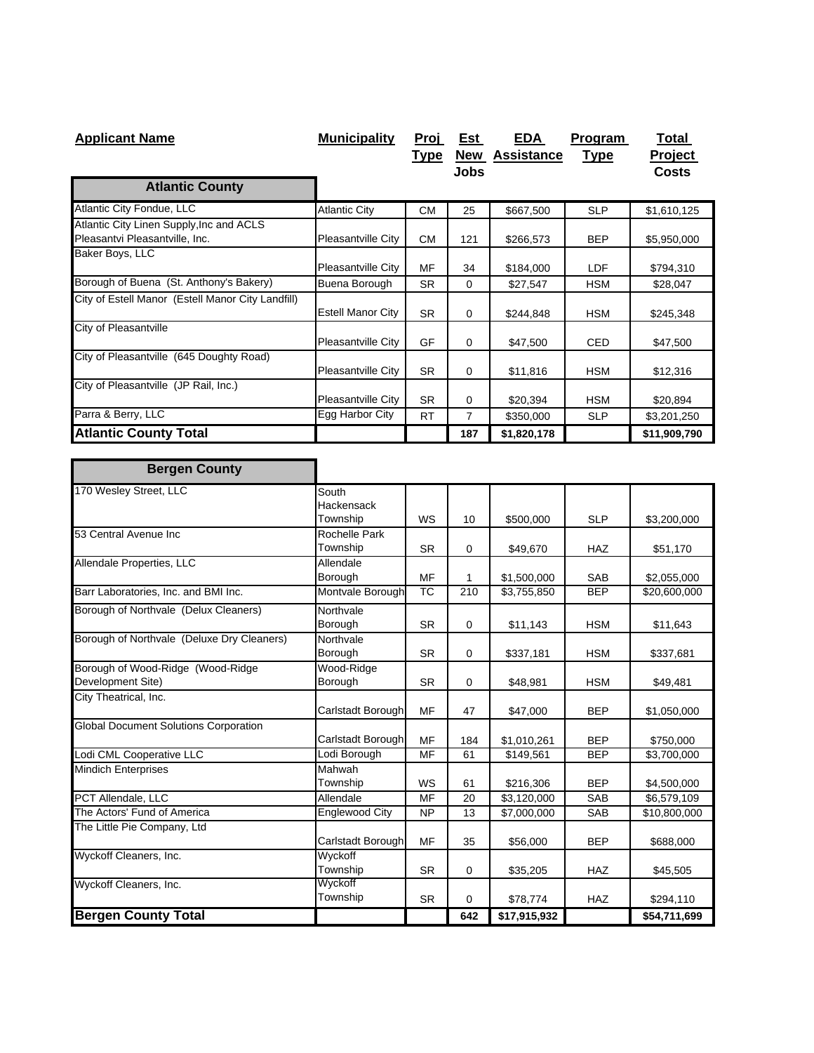| <b>Applicant Name</b>                                                      | <b>Municipality</b>      | <u>Proj</u> | Est        | <b>EDA</b>        | Program     | Total          |
|----------------------------------------------------------------------------|--------------------------|-------------|------------|-------------------|-------------|----------------|
|                                                                            |                          | <u>Type</u> | <b>New</b> | <b>Assistance</b> | <u>Type</u> | <b>Project</b> |
|                                                                            |                          |             | Jobs       |                   |             | <b>Costs</b>   |
| <b>Atlantic County</b>                                                     |                          |             |            |                   |             |                |
| Atlantic City Fondue, LLC                                                  | <b>Atlantic City</b>     | <b>CM</b>   | 25         | \$667,500         | <b>SLP</b>  | \$1,610,125    |
| Atlantic City Linen Supply, Inc and ACLS<br>Pleasantvi Pleasantville, Inc. | Pleasantville City       | <b>CM</b>   | 121        | \$266,573         | <b>BEP</b>  | \$5,950,000    |
| Baker Boys, LLC                                                            | Pleasantville City       | MF          | 34         | \$184,000         | <b>LDF</b>  | \$794,310      |
| Borough of Buena (St. Anthony's Bakery)                                    | Buena Borough            | <b>SR</b>   | 0          | \$27,547          | <b>HSM</b>  | \$28,047       |
| City of Estell Manor (Estell Manor City Landfill)                          | <b>Estell Manor City</b> | <b>SR</b>   | 0          | \$244,848         | <b>HSM</b>  | \$245,348      |
| City of Pleasantville                                                      | Pleasantville City       | <b>GF</b>   | 0          | \$47,500          | <b>CED</b>  | \$47,500       |
| City of Pleasantville (645 Doughty Road)                                   | Pleasantville City       | <b>SR</b>   | 0          | \$11,816          | <b>HSM</b>  | \$12,316       |
| City of Pleasantville (JP Rail, Inc.)                                      | Pleasantville City       | <b>SR</b>   | 0          | \$20,394          | <b>HSM</b>  | \$20,894       |
| Parra & Berry, LLC                                                         | Egg Harbor City          | <b>RT</b>   | 7          | \$350,000         | <b>SLP</b>  | \$3,201,250    |
| <b>Atlantic County Total</b>                                               |                          |             | 187        | \$1,820,178       |             | \$11,909,790   |

| <b>Bergen County</b>                         |                   |           |             |              |            |              |
|----------------------------------------------|-------------------|-----------|-------------|--------------|------------|--------------|
| 170 Wesley Street, LLC                       | South             |           |             |              |            |              |
|                                              | Hackensack        |           |             |              |            |              |
|                                              | Township          | WS        | 10          | \$500,000    | <b>SLP</b> | \$3,200,000  |
| 53 Central Avenue Inc                        | Rochelle Park     |           |             |              |            |              |
|                                              | Township          | <b>SR</b> | $\mathbf 0$ | \$49,670     | <b>HAZ</b> | \$51,170     |
| Allendale Properties, LLC                    | Allendale         |           |             |              |            |              |
|                                              | Borough           | MF        | 1           | \$1,500,000  | <b>SAB</b> | \$2,055,000  |
| Barr Laboratories, Inc. and BMI Inc.         | Montvale Borough  | <b>TC</b> | 210         | \$3,755,850  | <b>BEP</b> | \$20,600,000 |
| Borough of Northvale (Delux Cleaners)        | Northvale         |           |             |              |            |              |
|                                              | Borough           | <b>SR</b> | 0           | \$11,143     | <b>HSM</b> | \$11,643     |
| Borough of Northvale (Deluxe Dry Cleaners)   | Northvale         |           |             |              |            |              |
|                                              | Borough           | <b>SR</b> | $\mathbf 0$ | \$337,181    | <b>HSM</b> | \$337,681    |
| Borough of Wood-Ridge (Wood-Ridge            | Wood-Ridge        |           |             |              |            |              |
| Development Site)                            | Borough           | <b>SR</b> | $\mathbf 0$ | \$48,981     | <b>HSM</b> | \$49,481     |
| City Theatrical, Inc.                        |                   |           |             |              |            |              |
|                                              | Carlstadt Borough | MF        | 47          | \$47,000     | <b>BEP</b> | \$1,050,000  |
| <b>Global Document Solutions Corporation</b> |                   |           |             |              |            |              |
|                                              | Carlstadt Borough | MF        | 184         | \$1,010,261  | <b>BEP</b> | \$750,000    |
| Lodi CML Cooperative LLC                     | Lodi Borough      | MF        | 61          | \$149,561    | <b>BEP</b> | \$3,700,000  |
| <b>Mindich Enterprises</b>                   | Mahwah            |           |             |              |            |              |
|                                              | Township          | WS        | 61          | \$216,306    | <b>BEP</b> | \$4,500,000  |
| <b>PCT Allendale, LLC</b>                    | Allendale         | <b>MF</b> | 20          | \$3,120,000  | <b>SAB</b> | \$6,579,109  |
| The Actors' Fund of America                  | Englewood City    | <b>NP</b> | 13          | \$7,000,000  | <b>SAB</b> | \$10,800,000 |
| The Little Pie Company, Ltd                  |                   |           |             |              |            |              |
|                                              | Carlstadt Borough | MF        | 35          | \$56,000     | <b>BEP</b> | \$688,000    |
| Wyckoff Cleaners, Inc.                       | Wyckoff           |           |             |              |            |              |
|                                              | Township          | <b>SR</b> | $\mathbf 0$ | \$35,205     | <b>HAZ</b> | \$45,505     |
| Wyckoff Cleaners, Inc.                       | Wyckoff           |           |             |              |            |              |
|                                              | Township          | <b>SR</b> | $\Omega$    | \$78,774     | <b>HAZ</b> | \$294,110    |
| <b>Bergen County Total</b>                   |                   |           | 642         | \$17,915,932 |            | \$54,711,699 |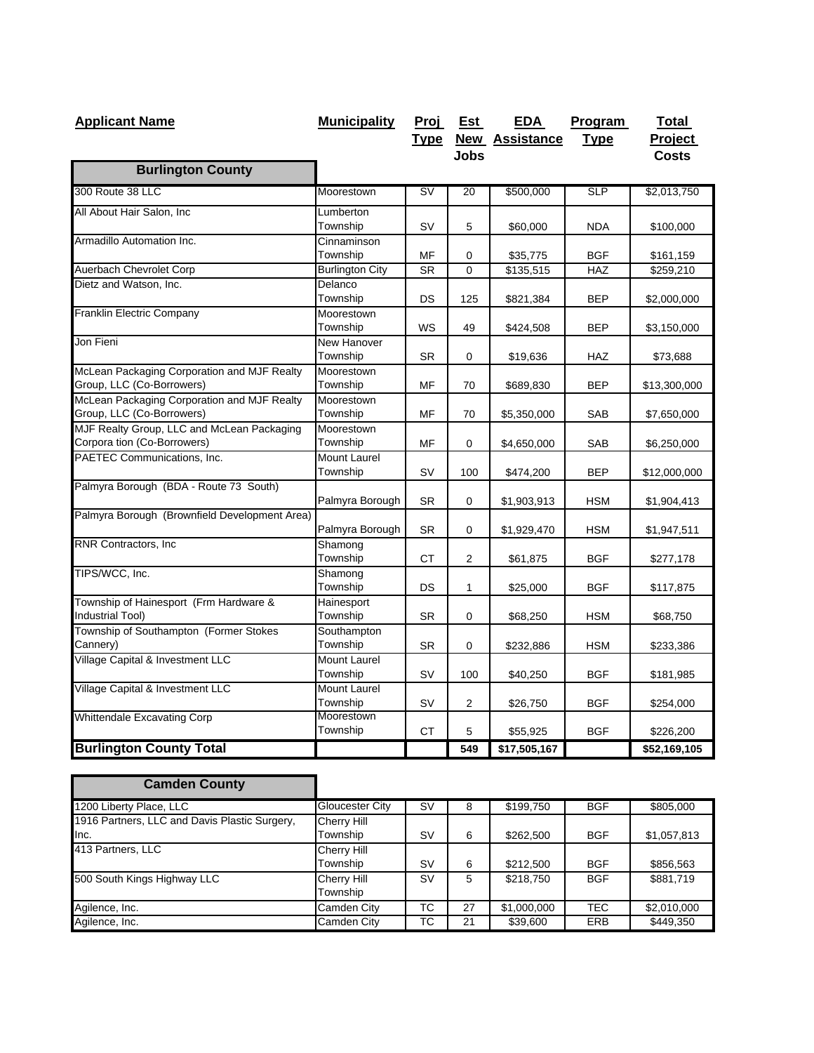| <b>Applicant Name</b>                         | <b>Municipality</b>    |                          | Proj Est     | <b>EDA</b>            | Program     | <b>Total</b> |
|-----------------------------------------------|------------------------|--------------------------|--------------|-----------------------|-------------|--------------|
|                                               |                        | <u>Type</u>              |              | <b>New Assistance</b> | <b>Type</b> | Project      |
|                                               |                        |                          | <b>Jobs</b>  |                       |             | <b>Costs</b> |
| <b>Burlington County</b>                      |                        |                          |              |                       |             |              |
| 300 Route 38 LLC                              | Moorestown             | $\overline{\mathsf{sv}}$ | 20           | \$500,000             | SLP         | \$2,013,750  |
| All About Hair Salon, Inc                     | Lumberton              |                          |              |                       |             |              |
|                                               | Township               | SV                       | 5            | \$60,000              | <b>NDA</b>  | \$100,000    |
| Armadillo Automation Inc.                     | Cinnaminson            |                          |              |                       |             |              |
|                                               | Township               | MF                       | 0            | \$35,775              | <b>BGF</b>  | \$161,159    |
| Auerbach Chevrolet Corp                       | <b>Burlington City</b> | <b>SR</b>                | $\mathbf 0$  | \$135,515             | <b>HAZ</b>  | \$259,210    |
| Dietz and Watson, Inc.                        | Delanco                |                          |              |                       |             |              |
|                                               | Township               | DS                       | 125          | \$821,384             | <b>BEP</b>  | \$2,000,000  |
| Franklin Electric Company                     | Moorestown             |                          |              |                       |             |              |
|                                               | Township               | <b>WS</b>                | 49           | \$424,508             | <b>BEP</b>  | \$3,150,000  |
| Jon Fieni                                     | New Hanover            |                          |              |                       |             |              |
|                                               | Township               | SR.                      | 0            | \$19,636              | HAZ         | \$73,688     |
| McLean Packaging Corporation and MJF Realty   | Moorestown             |                          |              |                       |             |              |
| Group, LLC (Co-Borrowers)                     | Township               | MF                       | 70           | \$689,830             | <b>BEP</b>  | \$13,300,000 |
| McLean Packaging Corporation and MJF Realty   | Moorestown             |                          |              |                       |             |              |
| Group, LLC (Co-Borrowers)                     | Township               | МF                       | 70           | \$5,350,000           | SAB         | \$7,650,000  |
| MJF Realty Group, LLC and McLean Packaging    | Moorestown             |                          |              |                       |             |              |
| Corpora tion (Co-Borrowers)                   | Township               | MF                       | $\mathbf 0$  | \$4,650,000           | <b>SAB</b>  | \$6,250,000  |
| PAETEC Communications, Inc.                   | Mount Laurel           |                          |              |                       |             |              |
|                                               | Township               | <b>SV</b>                | 100          | \$474,200             | <b>BEP</b>  | \$12,000,000 |
| Palmyra Borough (BDA - Route 73 South)        |                        |                          |              |                       |             |              |
|                                               | Palmyra Borough        | <b>SR</b>                | $\mathbf 0$  | \$1,903,913           | <b>HSM</b>  | \$1,904,413  |
| Palmyra Borough (Brownfield Development Area) |                        |                          |              |                       |             |              |
|                                               | Palmyra Borough        | <b>SR</b>                | $\mathbf 0$  | \$1,929,470           | <b>HSM</b>  | \$1,947,511  |
| RNR Contractors, Inc.                         | Shamong                |                          |              |                       |             |              |
|                                               | Township               | <b>CT</b>                | 2            | \$61,875              | <b>BGF</b>  | \$277,178    |
| TIPS/WCC, Inc.                                | Shamong                |                          |              |                       |             |              |
| Township of Hainesport (Frm Hardware &        | Township               | DS                       | $\mathbf{1}$ | \$25,000              | <b>BGF</b>  | \$117,875    |
| Industrial Tool)                              | Hainesport<br>Township | <b>SR</b>                | $\mathbf 0$  | \$68,250              | <b>HSM</b>  | \$68,750     |
| Township of Southampton (Former Stokes        | Southampton            |                          |              |                       |             |              |
| Cannery)                                      | Township               | <b>SR</b>                | 0            | \$232,886             | <b>HSM</b>  | \$233,386    |
| Village Capital & Investment LLC              | Mount Laurel           |                          |              |                       |             |              |
|                                               | Township               | <b>SV</b>                | 100          | \$40,250              | <b>BGF</b>  | \$181,985    |
| Village Capital & Investment LLC              | Mount Laurel           |                          |              |                       |             |              |
|                                               | Township               | <b>SV</b>                | 2            | \$26,750              | <b>BGF</b>  | \$254,000    |
| <b>Whittendale Excavating Corp</b>            | Moorestown             |                          |              |                       |             |              |
|                                               | Township               | СT                       | 5            | \$55,925              | <b>BGF</b>  | \$226,200    |
| <b>Burlington County Total</b>                |                        |                          | 549          | \$17,505,167          |             | \$52,169,105 |

| <b>Camden County</b>                          |                    |           |    |             |            |             |
|-----------------------------------------------|--------------------|-----------|----|-------------|------------|-------------|
| 1200 Liberty Place, LLC                       | Gloucester City    | <b>SV</b> | 8  | \$199,750   | <b>BGF</b> | \$805,000   |
| 1916 Partners, LLC and Davis Plastic Surgery, | <b>Cherry Hill</b> |           |    |             |            |             |
| Inc.                                          | Township           | <b>SV</b> | 6  | \$262,500   | <b>BGF</b> | \$1,057,813 |
| 413 Partners, LLC                             | <b>Cherry Hill</b> |           |    |             |            |             |
|                                               | Township           | <b>SV</b> | 6  | \$212,500   | <b>BGF</b> | \$856,563   |
| 500 South Kings Highway LLC                   | Cherry Hill        | <b>SV</b> | 5  | \$218,750   | <b>BGF</b> | \$881,719   |
|                                               | Township           |           |    |             |            |             |
| Agilence, Inc.                                | Camden City        | ТC        | 27 | \$1,000,000 | <b>TEC</b> | \$2,010,000 |
| Agilence, Inc.                                | Camden City        | TC.       | 21 | \$39,600    | <b>ERB</b> | \$449,350   |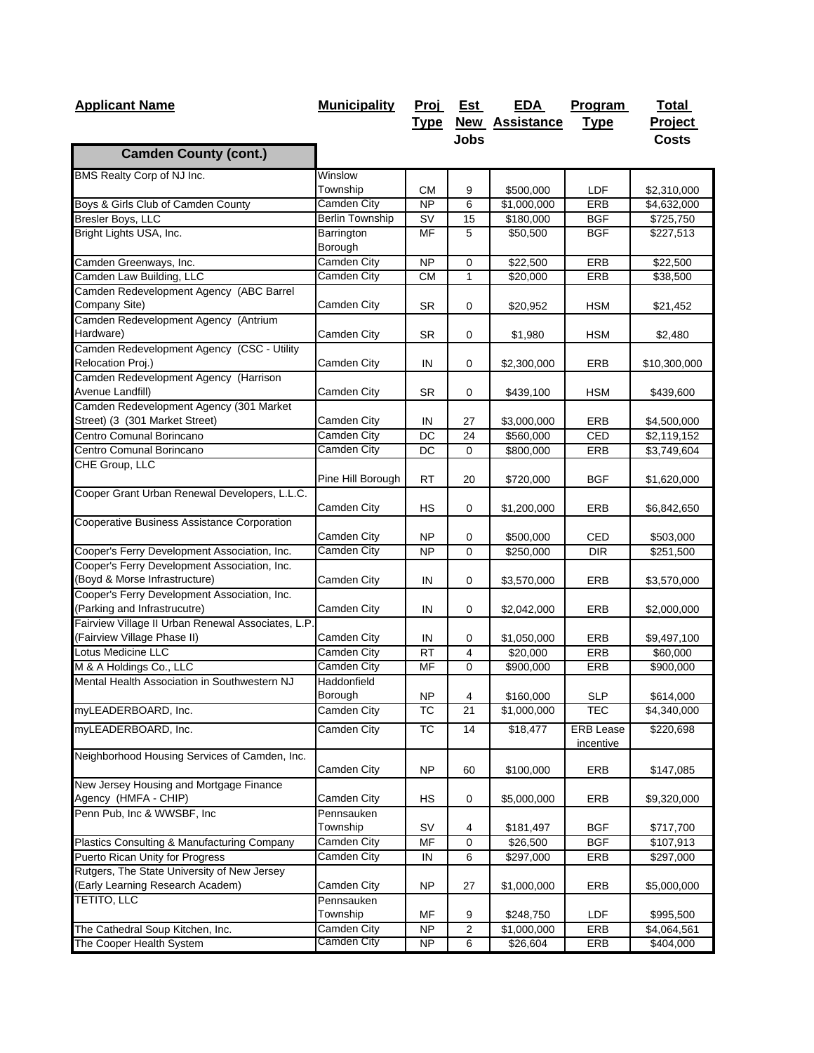| <b>Applicant Name</b>                                                           | <b>Municipality</b>        | <b>Proj</b>     | <b>Est</b>   | <b>EDA</b>             | Program                              | <b>Total</b> |
|---------------------------------------------------------------------------------|----------------------------|-----------------|--------------|------------------------|--------------------------------------|--------------|
|                                                                                 |                            | <u>Type</u>     |              | <b>New Assistance</b>  | <u>Type</u>                          | Project      |
|                                                                                 |                            |                 | <b>Jobs</b>  |                        |                                      | <b>Costs</b> |
| <b>Camden County (cont.)</b>                                                    |                            |                 |              |                        |                                      |              |
| BMS Realty Corp of NJ Inc.                                                      | Winslow                    |                 |              |                        |                                      |              |
|                                                                                 | Township                   | <b>CM</b>       | 9            | \$500,000              | LDF                                  | \$2,310,000  |
| Boys & Girls Club of Camden County                                              | Camden City                | <b>NP</b>       | 6            | \$1,000,000            | ERB                                  | \$4,632,000  |
| Bresler Boys, LLC                                                               | <b>Berlin Township</b>     | SV              | 15           | \$180,000              | <b>BGF</b>                           | \$725,750    |
| Bright Lights USA, Inc.                                                         | Barrington<br>Borough      | MF              | 5            | \$50,500               | <b>BGF</b>                           | \$227,513    |
| Camden Greenways, Inc.                                                          | <b>Camden City</b>         | <b>NP</b>       | $\mathbf 0$  | \$22,500               | ERB                                  | \$22,500     |
| Camden Law Building, LLC                                                        | Camden City                | <b>CM</b>       | $\mathbf{1}$ | \$20,000               | ERB                                  | \$38,500     |
| Camden Redevelopment Agency (ABC Barrel<br>Company Site)                        | Camden City                | <b>SR</b>       | $\mathbf 0$  | \$20,952               | <b>HSM</b>                           | \$21,452     |
| Camden Redevelopment Agency (Antrium<br>Hardware)                               | Camden City                | <b>SR</b>       | 0            | \$1,980                | <b>HSM</b>                           | \$2,480      |
| Camden Redevelopment Agency (CSC - Utility<br>Relocation Proj.)                 | Camden City                | IN              | 0            | \$2,300,000            | ERB                                  | \$10,300,000 |
| Camden Redevelopment Agency (Harrison<br>Avenue Landfill)                       | Camden City                | <b>SR</b>       | 0            | \$439,100              | <b>HSM</b>                           | \$439,600    |
| Camden Redevelopment Agency (301 Market<br>Street) (3 (301 Market Street)       | Camden City                | IN              | 27           | \$3,000,000            | ERB                                  | \$4,500,000  |
| Centro Comunal Borincano                                                        | <b>Camden City</b>         | DC              | 24           | \$560,000              | CED                                  | \$2,119,152  |
| Centro Comunal Borincano                                                        | Camden City                | DC              | 0            | \$800,000              | <b>ERB</b>                           | \$3,749,604  |
| CHE Group, LLC                                                                  | Pine Hill Borough          | <b>RT</b>       | 20           | \$720,000              | BGF                                  | \$1,620,000  |
| Cooper Grant Urban Renewal Developers, L.L.C.                                   | Camden City                | НS              | 0            | \$1,200,000            | ERB                                  | \$6,842,650  |
| Cooperative Business Assistance Corporation                                     | Camden City                | <b>NP</b>       | 0            | \$500,000              | CED                                  | \$503,000    |
| Cooper's Ferry Development Association, Inc.                                    | Camden City                | <b>NP</b>       | 0            | \$250,000              | <b>DIR</b>                           | \$251,500    |
| Cooper's Ferry Development Association, Inc.<br>(Boyd & Morse Infrastructure)   | Camden City                | IN              | $\mathbf 0$  | \$3,570,000            | ERB                                  | \$3,570,000  |
| Cooper's Ferry Development Association, Inc.<br>(Parking and Infrastrucutre)    | Camden City                | IN              | 0            | \$2,042,000            | ERB                                  | \$2,000,000  |
| Fairview Village II Urban Renewal Associates, L.P.                              |                            |                 |              |                        |                                      |              |
| (Fairview Village Phase II)<br>Lotus Medicine LLC                               | Camden City                | IN              | 0            | \$1,050,000            | ERB                                  | \$9,497,100  |
| M & A Holdings Co., LLC                                                         | Camden City<br>Camden City | <b>RT</b><br>MF | 4<br>0       | \$20,000               | ERB                                  | \$60,000     |
| Mental Health Association in Southwestern NJ                                    | Haddonfield                |                 |              | \$900,000              | ERB                                  | \$900,000    |
| myLEADERBOARD, Inc.                                                             | Borough                    | <b>NP</b>       | 4<br>21      | \$160,000              | <b>SLP</b>                           | \$614,000    |
|                                                                                 | Camden City                | ТC              |              | $\overline{1,000,000}$ | TEC                                  | \$4,340,000  |
| myLEADERBOARD, Inc.                                                             | Camden City                | ТC              | 14           | \$18,477               | <b>ERB</b> Lease<br><i>incentive</i> | \$220,698    |
| Neighborhood Housing Services of Camden, Inc.                                   | Camden City                | <b>NP</b>       | 60           | \$100,000              | ERB                                  | \$147,085    |
| New Jersey Housing and Mortgage Finance<br>Agency (HMFA - CHIP)                 | Camden City                | НS              | 0            | \$5,000,000            | ERB                                  | \$9,320,000  |
| Penn Pub, Inc & WWSBF, Inc.                                                     | Pennsauken<br>Township     | SV              | 4            | \$181,497              | <b>BGF</b>                           | \$717,700    |
| Plastics Consulting & Manufacturing Company                                     | <b>Camden City</b>         | MF              | 0            | \$26,500               | <b>BGF</b>                           | \$107,913    |
| Puerto Rican Unity for Progress                                                 | Camden City                | IN              | 6            | \$297,000              | ERB                                  | \$297,000    |
| Rutgers, The State University of New Jersey<br>(Early Learning Research Academ) | Camden City                | NP              | 27           | \$1,000,000            | ERB                                  | \$5,000,000  |
| <b>TETITO, LLC</b>                                                              | Pennsauken<br>Township     | ΜF              | 9            | \$248,750              | LDF                                  | \$995,500    |
| The Cathedral Soup Kitchen, Inc.                                                | Camden City                | NP              | 2            | \$1,000,000            | ERB                                  | \$4,064,561  |
| The Cooper Health System                                                        | Camden City                | NP              | 6            | \$26,604               | ERB                                  | \$404,000    |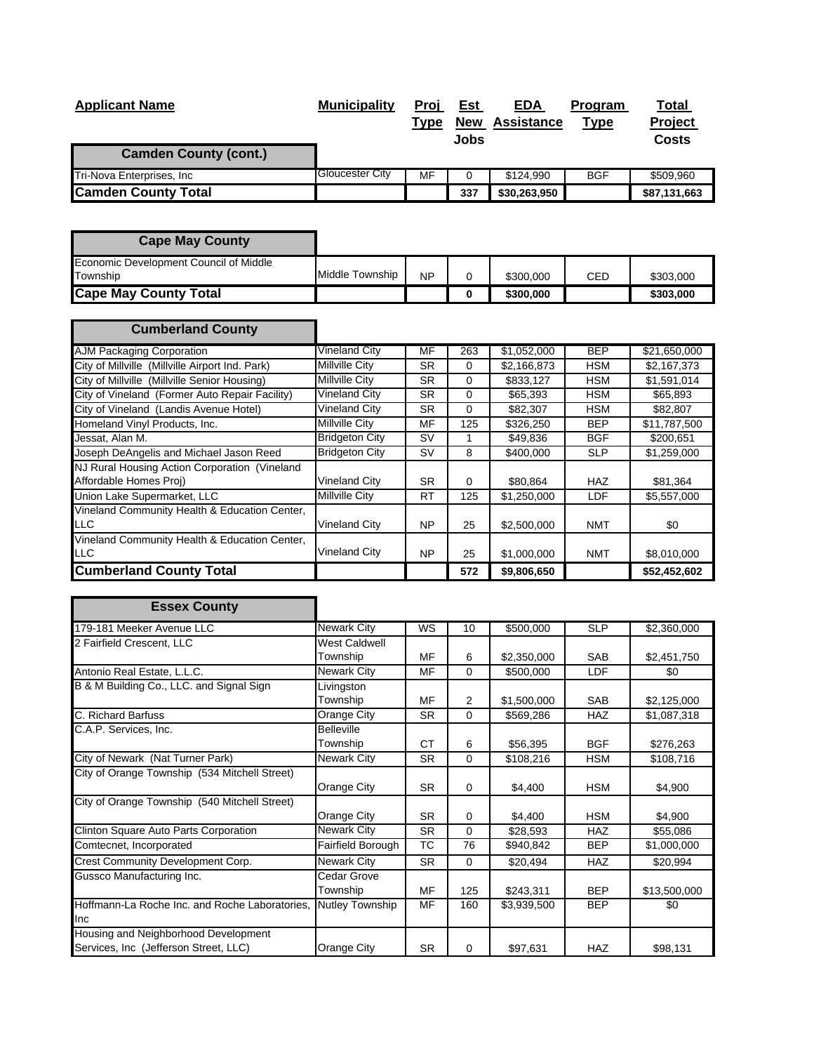| <b>Applicant Name</b>        | <b>Municipality</b>    | Proj<br>Type | <u>Est</u><br><b>New</b><br>Jobs | <b>EDA</b><br><b>Assistance</b> | Program<br><b>Type</b> | <b>Total</b><br>Project<br>Costs |
|------------------------------|------------------------|--------------|----------------------------------|---------------------------------|------------------------|----------------------------------|
| <b>Camden County (cont.)</b> |                        |              |                                  |                                 |                        |                                  |
| Tri-Nova Enterprises, Inc    | <b>Gloucester City</b> | MF           |                                  | \$124.990                       | <b>BGF</b>             | \$509,960                        |
| <b>Camden County Total</b>   |                        |              | 337                              | \$30,263,950                    |                        | \$87,131,663                     |

| <b>Cape May County</b>                             |                 |           |   |           |            |           |
|----------------------------------------------------|-----------------|-----------|---|-----------|------------|-----------|
| Economic Development Council of Middle<br>Township | Middle Township | <b>NP</b> | 0 | \$300,000 | <b>CED</b> | \$303,000 |
| <b>Cape May County Total</b>                       |                 |           | 0 | \$300,000 |            | \$303,000 |

| <b>Cumberland County</b>                                                |                       |           |          |             |            |              |
|-------------------------------------------------------------------------|-----------------------|-----------|----------|-------------|------------|--------------|
| <b>AJM Packaging Corporation</b>                                        | Vineland City         | MF        | 263      | \$1,052,000 | <b>BEP</b> | \$21,650,000 |
| City of Millville (Millville Airport Ind. Park)                         | Millville City        | <b>SR</b> | 0        | \$2,166,873 | <b>HSM</b> | \$2,167,373  |
| City of Millville (Millville Senior Housing)                            | Millville City        | SR.       | 0        | \$833,127   | <b>HSM</b> | \$1,591,014  |
| City of Vineland (Former Auto Repair Facility)                          | Vineland City         | <b>SR</b> | 0        | \$65,393    | <b>HSM</b> | \$65,893     |
| City of Vineland (Landis Avenue Hotel)                                  | Vineland City         | <b>SR</b> | 0        | \$82,307    | <b>HSM</b> | \$82,807     |
| Homeland Vinyl Products, Inc.                                           | Millville City        | MF        | 125      | \$326,250   | <b>BEP</b> | \$11,787,500 |
| Jessat, Alan M.                                                         | <b>Bridgeton City</b> | <b>SV</b> |          | \$49,836    | <b>BGF</b> | \$200,651    |
| Joseph DeAngelis and Michael Jason Reed                                 | <b>Bridgeton City</b> | <b>SV</b> | 8        | \$400,000   | <b>SLP</b> | \$1,259,000  |
| NJ Rural Housing Action Corporation (Vineland<br>Affordable Homes Proj) | <b>Vineland City</b>  | SR.       | $\Omega$ | \$80,864    | <b>HAZ</b> | \$81,364     |
| Union Lake Supermarket, LLC                                             | Millville City        | <b>RT</b> | 125      | \$1,250,000 | <b>LDF</b> | \$5,557,000  |
| Vineland Community Health & Education Center,<br><b>LLC</b>             | <b>Vineland City</b>  | <b>NP</b> | 25       | \$2,500,000 | <b>NMT</b> | \$0          |
| Vineland Community Health & Education Center,<br><b>LLC</b>             | <b>Vineland City</b>  | <b>NP</b> | 25       | \$1,000,000 | <b>NMT</b> | \$8,010,000  |
| <b>Cumberland County Total</b>                                          |                       |           | 572      | \$9,806,650 |            | \$52,452,602 |

| <b>Essex County</b>                            |                        |           |                |             |            |              |
|------------------------------------------------|------------------------|-----------|----------------|-------------|------------|--------------|
| 179-181 Meeker Avenue LLC                      | <b>Newark City</b>     | WS        | 10             | \$500,000   | <b>SLP</b> | \$2,360,000  |
| 2 Fairfield Crescent, LLC                      | West Caldwell          |           |                |             |            |              |
|                                                | Township               | MF        | 6              | \$2,350,000 | <b>SAB</b> | \$2,451,750  |
| Antonio Real Estate, L.L.C.                    | Newark City            | MF        | $\Omega$       | \$500,000   | LDF        | \$0          |
| B & M Building Co., LLC. and Signal Sign       | Livingston             |           |                |             |            |              |
|                                                | Township               | MF        | $\overline{2}$ | \$1,500,000 | <b>SAB</b> | \$2,125,000  |
| C. Richard Barfuss                             | Orange City            | <b>SR</b> | 0              | \$569,286   | <b>HAZ</b> | \$1,087,318  |
| C.A.P. Services, Inc.                          | <b>Belleville</b>      |           |                |             |            |              |
|                                                | Township               | СT        | 6              | \$56,395    | <b>BGF</b> | \$276,263    |
| City of Newark (Nat Turner Park)               | Newark City            | <b>SR</b> | $\Omega$       | \$108,216   | <b>HSM</b> | \$108,716    |
| City of Orange Township (534 Mitchell Street)  |                        |           |                |             |            |              |
|                                                | Orange City            | <b>SR</b> | 0              | \$4,400     | <b>HSM</b> | \$4,900      |
| City of Orange Township (540 Mitchell Street)  |                        |           |                |             |            |              |
|                                                | Orange City            | <b>SR</b> | 0              | \$4,400     | <b>HSM</b> | \$4,900      |
| Clinton Square Auto Parts Corporation          | Newark City            | <b>SR</b> | 0              | \$28,593    | <b>HAZ</b> | \$55,086     |
| Comtecnet, Incorporated                        | Fairfield Borough      | ТC        | 76             | \$940,842   | <b>BEP</b> | \$1,000,000  |
| Crest Community Development Corp.              | <b>Newark City</b>     | <b>SR</b> | $\Omega$       | \$20,494    | <b>HAZ</b> | \$20,994     |
| Gussco Manufacturing Inc.                      | Cedar Grove            |           |                |             |            |              |
|                                                | Township               | MF        | 125            | \$243,311   | <b>BEP</b> | \$13,500,000 |
| Hoffmann-La Roche Inc. and Roche Laboratories, | <b>Nutley Township</b> | MF        | 160            | \$3,939,500 | <b>BEP</b> | \$0          |
| Inc                                            |                        |           |                |             |            |              |
| Housing and Neighborhood Development           |                        |           |                |             |            |              |
| Services, Inc (Jefferson Street, LLC)          | Orange City            | <b>SR</b> | 0              | \$97,631    | <b>HAZ</b> | \$98,131     |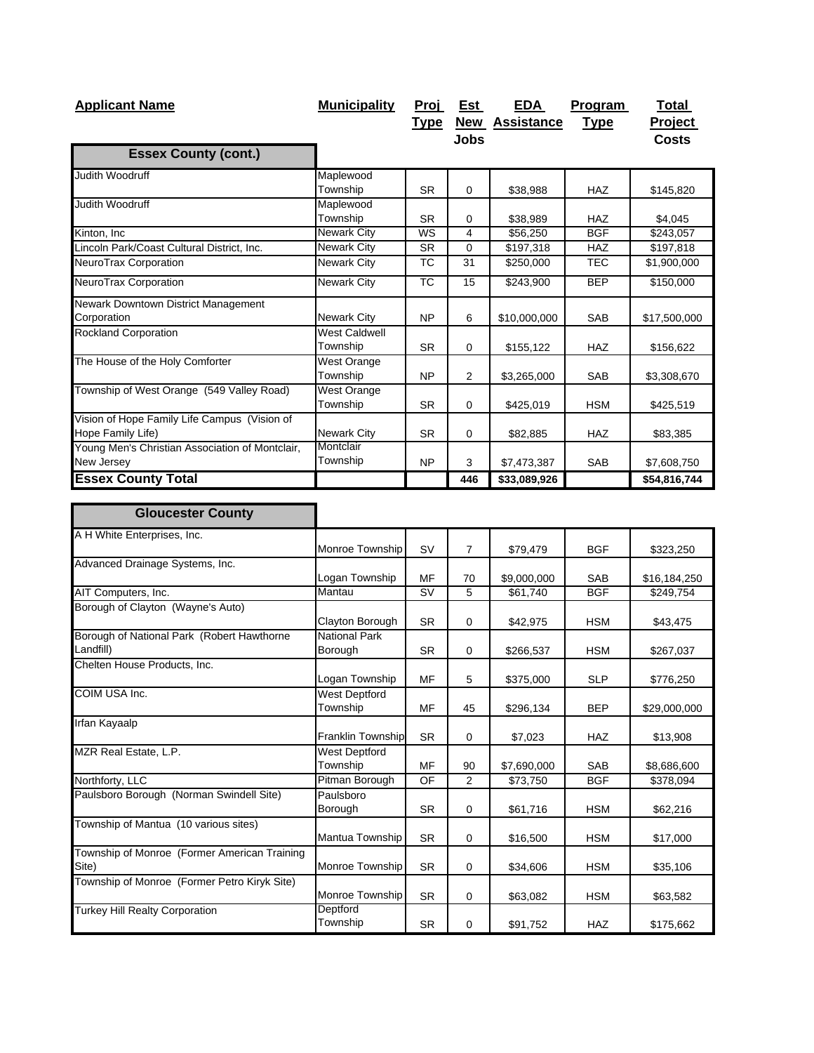| <b>Applicant Name</b>                                             | <b>Municipality</b>     | Proj                   | Est            | <b>EDA</b>            | Program     | <b>Total</b> |
|-------------------------------------------------------------------|-------------------------|------------------------|----------------|-----------------------|-------------|--------------|
|                                                                   |                         | <u>Type</u>            |                | <b>New Assistance</b> | <b>Type</b> | Project      |
|                                                                   |                         |                        | <b>Jobs</b>    |                       |             | <b>Costs</b> |
| <b>Essex County (cont.)</b>                                       |                         |                        |                |                       |             |              |
| Judith Woodruff                                                   | Maplewood               |                        |                |                       |             |              |
|                                                                   | Township                | <b>SR</b>              | $\mathbf 0$    | \$38,988              | HAZ         | \$145,820    |
| Judith Woodruff                                                   | Maplewood               |                        |                |                       |             |              |
|                                                                   | Township                | <b>SR</b>              | 0              | \$38,989              | <b>HAZ</b>  | \$4,045      |
| Kinton, Inc                                                       | <b>Newark City</b>      | WS                     | 4              | \$56,250              | <b>BGF</b>  | \$243,057    |
| Lincoln Park/Coast Cultural District, Inc.                        | <b>Newark City</b>      | <b>SR</b>              | $\mathbf 0$    | \$197,318             | HAZ         | \$197,818    |
| NeuroTrax Corporation                                             | Newark City             | <b>TC</b>              | 31             | \$250,000             | <b>TEC</b>  | \$1,900,000  |
| NeuroTrax Corporation                                             | Newark City             | $\overline{\text{TC}}$ | 15             | \$243,900             | <b>BEP</b>  | \$150,000    |
| Newark Downtown District Management<br>Corporation                | Newark City             | <b>NP</b>              | 6              | \$10,000,000          | SAB         | \$17,500,000 |
| <b>Rockland Corporation</b>                                       | <b>West Caldwell</b>    |                        |                |                       |             |              |
|                                                                   | Township                | <b>SR</b>              | 0              | \$155,122             | HAZ         | \$156,622    |
| The House of the Holy Comforter                                   | West Orange<br>Township | <b>NP</b>              | $\overline{2}$ | \$3,265,000           | SAB         | \$3,308,670  |
| Township of West Orange (549 Valley Road)                         | <b>West Orange</b>      |                        |                |                       |             |              |
|                                                                   | Township                | <b>SR</b>              | $\mathbf 0$    | \$425,019             | <b>HSM</b>  | \$425,519    |
| Vision of Hope Family Life Campus (Vision of<br>Hope Family Life) | <b>Newark City</b>      | <b>SR</b>              | $\mathbf 0$    | \$82,885              | <b>HAZ</b>  | \$83,385     |
| Young Men's Christian Association of Montclair,                   | Montclair               |                        |                |                       |             |              |
| New Jersey                                                        | Township                | <b>NP</b>              | 3              | \$7,473,387           | <b>SAB</b>  | \$7,608,750  |
| <b>Essex County Total</b>                                         |                         |                        | 446            | \$33,089,926          |             | \$54,816,744 |
|                                                                   |                         |                        |                |                       |             |              |
| <b>Gloucester County</b>                                          |                         |                        |                |                       |             |              |
| A H White Enterprises, Inc.                                       |                         |                        |                |                       |             |              |
|                                                                   | Monroe Township         | <b>SV</b>              | $\overline{7}$ | \$79,479              | <b>BGF</b>  | \$323,250    |
| Advanced Drainage Systems, Inc.                                   | Logan Township          | MF                     | 70             | \$9,000,000           | SAB         | \$16,184,250 |
| AIT Computers, Inc.                                               | Mantau                  | <b>SV</b>              | 5              | \$61,740              | <b>BGF</b>  | \$249,754    |
| Borough of Clayton (Wayne's Auto)                                 |                         |                        |                |                       |             |              |
|                                                                   | Clayton Borough         | <b>SR</b>              | $\mathbf 0$    | \$42,975              | <b>HSM</b>  | \$43,475     |
| Borough of National Park (Robert Hawthorne                        | <b>National Park</b>    |                        |                |                       |             |              |
| Landfill)                                                         | Borough                 | <b>SR</b>              | 0              | \$266,537             | HSM         | \$267,037    |
| Chelten House Products, Inc.                                      | Logan Township          | ΜF                     | 5              | \$375,000             | <b>SLP</b>  | \$776,250    |
| COIM USA Inc.                                                     | West Deptford           |                        |                |                       |             |              |
|                                                                   | Township                | MF                     | 45             | \$296,134             | <b>BEP</b>  | \$29,000,000 |
| Irfan Kayaalp                                                     | Franklin Township       | <b>SR</b>              | $\pmb{0}$      | \$7,023               | HAZ         | \$13,908     |
| MZR Real Estate, L.P.                                             | <b>West Deptford</b>    |                        |                |                       |             |              |
|                                                                   | Township                | MF                     | 90             | \$7,690,000           | SAB         | \$8,686,600  |
| Northforty, LLC                                                   | Pitman Borough          | OF                     | 2              | \$73,750              | <b>BGF</b>  | \$378,094    |
| Paulsboro Borough (Norman Swindell Site)                          | Paulsboro               |                        |                |                       |             |              |
|                                                                   | Borough                 | <b>SR</b>              | $\pmb{0}$      | \$61,716              | <b>HSM</b>  | \$62,216     |
| Township of Mantua (10 various sites)                             |                         |                        |                |                       |             |              |
|                                                                   | Mantua Township         | <b>SR</b>              | 0              | \$16,500              | <b>HSM</b>  | \$17,000     |
| Township of Monroe (Former American Training                      |                         |                        |                |                       |             |              |
| Site)                                                             | Monroe Township         | <b>SR</b>              | 0              | \$34,606              | <b>HSM</b>  | \$35,106     |
| Township of Monroe (Former Petro Kiryk Site)                      | Monroe Township         | SR                     | $\pmb{0}$      | \$63,082              | HSM         | \$63,582     |
| <b>Turkey Hill Realty Corporation</b>                             | Deptford<br>Township    | SR                     | $\mathsf 0$    | \$91,752              | HAZ         |              |
|                                                                   |                         |                        |                |                       |             | \$175,662    |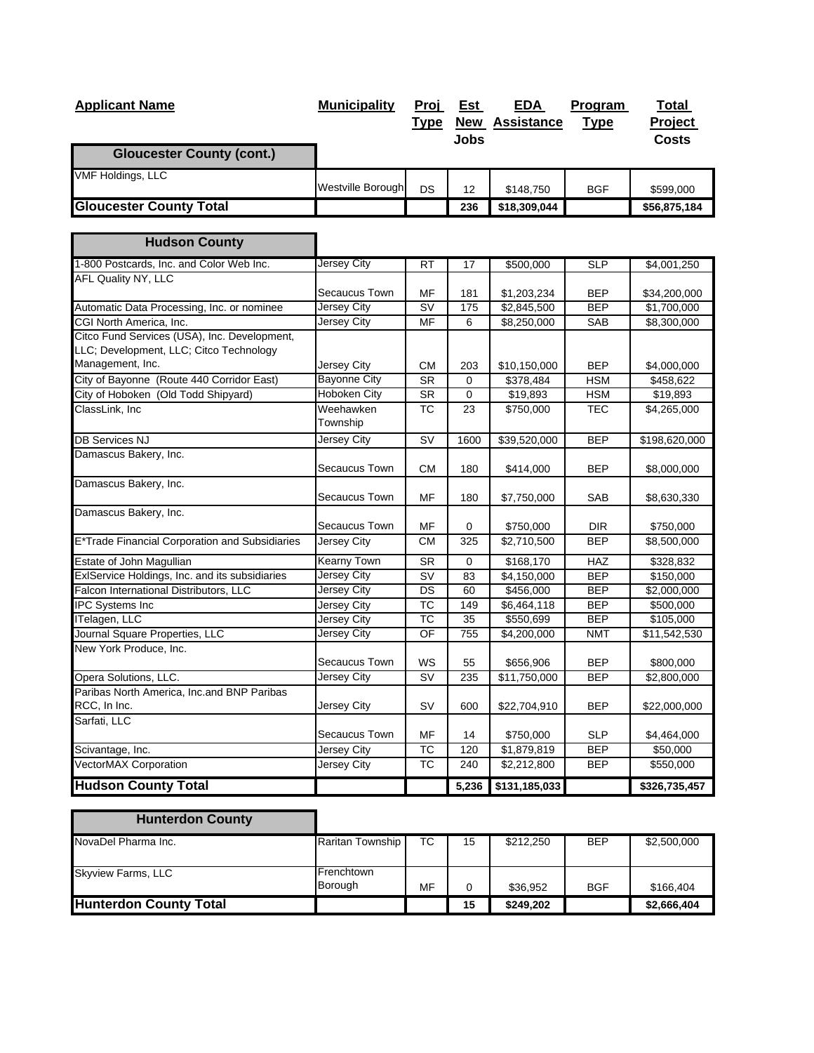| <b>Applicant Name</b>                                                                                       | <b>Municipality</b>   | <u>Proj</u><br><u>Type</u> | <u>Est</u><br><b>Jobs</b> | <u>EDA</u><br><b>New Assistance</b> | Program<br><b>Type</b> | Total<br>Project<br><b>Costs</b> |
|-------------------------------------------------------------------------------------------------------------|-----------------------|----------------------------|---------------------------|-------------------------------------|------------------------|----------------------------------|
| <b>Gloucester County (cont.)</b>                                                                            |                       |                            |                           |                                     |                        |                                  |
| <b>VMF Holdings, LLC</b>                                                                                    | Westville Borough     | <b>DS</b>                  | 12                        | \$148,750                           | <b>BGF</b>             | \$599,000                        |
| <b>Gloucester County Total</b>                                                                              |                       |                            | 236                       | \$18,309,044                        |                        | \$56,875,184                     |
| <b>Hudson County</b>                                                                                        |                       |                            |                           |                                     |                        |                                  |
| 1-800 Postcards, Inc. and Color Web Inc.                                                                    | <b>Jersey City</b>    | <b>RT</b>                  | 17                        | \$500,000                           | <b>SLP</b>             | \$4,001,250                      |
| <b>AFL Quality NY, LLC</b>                                                                                  | Secaucus Town         | MF                         | 181                       | \$1,203,234                         | <b>BEP</b>             | \$34,200,000                     |
| Automatic Data Processing, Inc. or nominee                                                                  | Jersey City           | <b>SV</b>                  | 175                       | \$2,845,500                         | <b>BEP</b>             | \$1,700,000                      |
| CGI North America, Inc.                                                                                     | <b>Jersey City</b>    | MF                         | 6                         | \$8,250,000                         | SAB                    | \$8,300,000                      |
| Citco Fund Services (USA), Inc. Development,<br>LLC; Development, LLC; Citco Technology<br>Management, Inc. | Jersey City           | <b>CM</b>                  | 203                       | \$10,150,000                        | <b>BEP</b>             | \$4,000,000                      |
| City of Bayonne (Route 440 Corridor East)                                                                   | <b>Bayonne City</b>   | <b>SR</b>                  | 0                         | \$378,484                           | <b>HSM</b>             | \$458,622                        |
| City of Hoboken (Old Todd Shipyard)                                                                         | Hoboken City          | <b>SR</b>                  | $\mathbf 0$               | $\overline{$19,893}$                | <b>HSM</b>             | \$19,893                         |
| ClassLink, Inc                                                                                              | Weehawken<br>Township | $\overline{TC}$            | 23                        | \$750,000                           | <b>TEC</b>             | \$4,265,000                      |
| <b>DB Services NJ</b>                                                                                       | Jersey City           | SV                         | 1600                      | \$39,520,000                        | <b>BEP</b>             | \$198,620,000                    |
| Damascus Bakery, Inc.                                                                                       | Secaucus Town         | <b>CM</b>                  | 180                       | \$414,000                           | <b>BEP</b>             | \$8,000,000                      |
| Damascus Bakery, Inc.                                                                                       | Secaucus Town         | MF                         | 180                       | \$7,750,000                         | SAB                    | \$8,630,330                      |
| Damascus Bakery, Inc.                                                                                       | Secaucus Town         | MF                         | 0                         | \$750,000                           | <b>DIR</b>             | \$750,000                        |
| E*Trade Financial Corporation and Subsidiaries                                                              | Jersey City           | CМ                         | 325                       | \$2,710,500                         | <b>BEP</b>             | \$8,500,000                      |
| Estate of John Magullian                                                                                    | <b>Kearny Town</b>    | <b>SR</b>                  | 0                         | \$168,170                           | HAZ                    | \$328,832                        |
| ExlService Holdings, Inc. and its subsidiaries                                                              | Jersey City           | SV                         | 83                        | \$4,150,000                         | <b>BEP</b>             | \$150,000                        |
| Falcon International Distributors, LLC                                                                      | Jersey City           | DS                         | 60                        | \$456,000                           | <b>BEP</b>             | \$2,000,000                      |
| IPC Systems Inc                                                                                             | Jersey City           | ТC                         | 149                       | \$6,464,118                         | BEP                    | \$500,000                        |
| ITelagen, LLC                                                                                               | Jersey City           | $\overline{\text{TC}}$     | 35                        | \$550,699                           | <b>BEP</b>             | \$105,000                        |
| Journal Square Properties, LLC<br>New York Produce, Inc.                                                    | <b>Jersey City</b>    | OF                         | 755                       | \$4,200,000                         | <b>NMT</b>             | \$11,542,530                     |
|                                                                                                             | Secaucus Town         | WS                         | 55                        | \$656,906                           | <b>BEP</b>             | \$800,000                        |
| Opera Solutions, LLC.<br>Paribas North America, Inc.and BNP Paribas                                         | Jersey City           | SV                         | 235                       | \$11,750,000                        | <b>BEP</b>             | \$2,800,000                      |
| RCC, In Inc.                                                                                                | Jersey City           | SV                         | 600                       | \$22,704,910                        | <b>BEP</b>             | \$22,000,000                     |
| Sarfati, LLC                                                                                                | Secaucus Town         | MF                         | 14                        | \$750,000                           | <b>SLP</b>             | \$4,464,000                      |
| Scivantage, Inc.                                                                                            | Jersey City           | ТC                         | 120                       | \$1,879,819                         | <b>BEP</b>             | \$50,000                         |
| <b>VectorMAX Corporation</b>                                                                                | <b>Jersey City</b>    | $\overline{TC}$            | 240                       | \$2,212,800                         | <b>BEP</b>             | \$550,000                        |
| <b>Hudson County Total</b>                                                                                  |                       |                            | 5,236                     | \$131,185,033                       |                        | \$326,735,457                    |

| <b>Hunterdon County</b>       |                  |    |    |           |            |             |
|-------------------------------|------------------|----|----|-----------|------------|-------------|
| NovaDel Pharma Inc.           | Raritan Township | ТC | 15 | \$212,250 | <b>BEP</b> | \$2,500,000 |
| Skyview Farms, LLC            | Frenchtown       |    |    |           |            |             |
|                               | <b>Borough</b>   | MF | 0  | \$36,952  | <b>BGF</b> | \$166,404   |
| <b>Hunterdon County Total</b> |                  |    | 15 | \$249,202 |            | \$2,666,404 |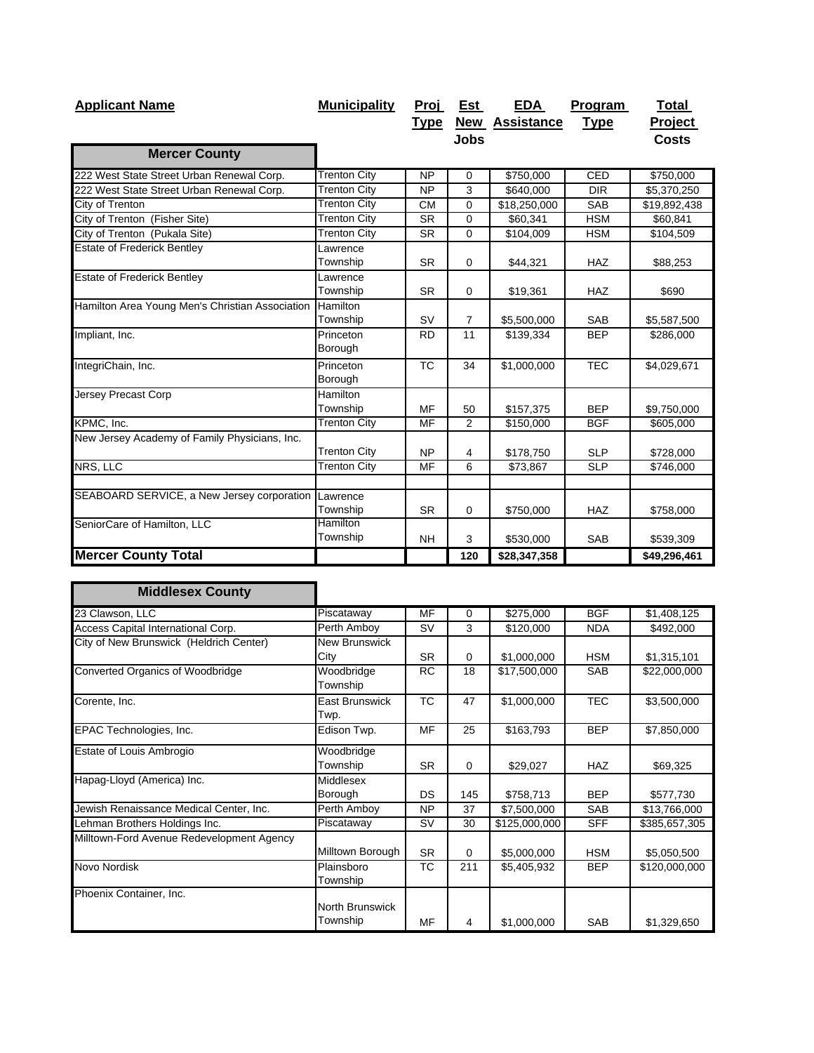| <b>Applicant Name</b>                           | <b>Municipality</b> | Proj            | Est            | <u>EDA</u>            | Program     | <b>Total</b>   |
|-------------------------------------------------|---------------------|-----------------|----------------|-----------------------|-------------|----------------|
|                                                 |                     | <u>Type</u>     |                | <b>New Assistance</b> | <b>Type</b> | <b>Project</b> |
|                                                 |                     |                 | <b>Jobs</b>    |                       |             | <b>Costs</b>   |
| <b>Mercer County</b>                            |                     |                 |                |                       |             |                |
| 222 West State Street Urban Renewal Corp.       | <b>Trenton City</b> | $\overline{NP}$ | $\mathbf 0$    | \$750,000             | CED         | \$750,000      |
| 222 West State Street Urban Renewal Corp.       | <b>Trenton City</b> | <b>NP</b>       | 3              | \$640,000             | <b>DIR</b>  | \$5,370,250    |
| City of Trenton                                 | <b>Trenton City</b> | <b>CM</b>       | 0              | \$18,250,000          | <b>SAB</b>  | \$19,892,438   |
| City of Trenton (Fisher Site)                   | <b>Trenton City</b> | <b>SR</b>       | $\mathbf 0$    | \$60,341              | <b>HSM</b>  | \$60,841       |
| City of Trenton (Pukala Site)                   | <b>Trenton City</b> | <b>SR</b>       | $\Omega$       | \$104,009             | <b>HSM</b>  | \$104,509      |
| <b>Estate of Frederick Bentley</b>              | Lawrence            |                 |                |                       |             |                |
|                                                 | Township            | <b>SR</b>       | $\mathbf 0$    | \$44,321              | <b>HAZ</b>  | \$88,253       |
| <b>Estate of Frederick Bentley</b>              | Lawrence            |                 |                |                       |             |                |
|                                                 | Township            | <b>SR</b>       | $\mathbf 0$    | \$19,361              | <b>HAZ</b>  | \$690          |
| Hamilton Area Young Men's Christian Association | Hamilton            |                 |                |                       |             |                |
|                                                 | Township            | <b>SV</b>       | $\overline{7}$ | \$5,500,000           | <b>SAB</b>  | \$5,587,500    |
| Impliant, Inc.                                  | Princeton           | <b>RD</b>       | 11             | \$139,334             | <b>BEP</b>  | \$286,000      |
|                                                 | Borough             |                 |                |                       |             |                |
| IntegriChain, Inc.                              | Princeton           | <b>TC</b>       | 34             | \$1,000,000           | <b>TEC</b>  | \$4,029,671    |
|                                                 | Borough             |                 |                |                       |             |                |
| <b>Jersey Precast Corp</b>                      | Hamilton            |                 |                |                       |             |                |
|                                                 | Township            | MF              | 50             | \$157,375             | <b>BEP</b>  | \$9,750,000    |
| KPMC, Inc.                                      | <b>Trenton City</b> | MF              | 2              | \$150,000             | <b>BGF</b>  | \$605,000      |
| New Jersey Academy of Family Physicians, Inc.   |                     |                 |                |                       |             |                |
|                                                 | <b>Trenton City</b> | <b>NP</b>       | 4              | \$178,750             | <b>SLP</b>  | \$728,000      |
| NRS, LLC                                        | <b>Trenton City</b> | MF              | 6              | \$73,867              | <b>SLP</b>  | \$746,000      |
|                                                 |                     |                 |                |                       |             |                |
| SEABOARD SERVICE, a New Jersey corporation      | Lawrence            |                 |                |                       |             |                |
|                                                 | Township            | <b>SR</b>       | 0              | \$750,000             | <b>HAZ</b>  | \$758,000      |
| SeniorCare of Hamilton, LLC                     | Hamilton            |                 |                |                       |             |                |
|                                                 | Township            | <b>NH</b>       | 3              | \$530,000             | <b>SAB</b>  | \$539,309      |
| <b>Mercer County Total</b>                      |                     |                 | 120            | \$28,347,358          |             | \$49,296,461   |

| <b>Middlesex County</b>                   |                             |           |          |               |            |               |
|-------------------------------------------|-----------------------------|-----------|----------|---------------|------------|---------------|
| 23 Clawson, LLC                           | Piscataway                  | MF        | 0        | \$275,000     | <b>BGF</b> | \$1,408,125   |
| Access Capital International Corp.        | Perth Amboy                 | <b>SV</b> | 3        | \$120,000     | <b>NDA</b> | \$492,000     |
| City of New Brunswick (Heldrich Center)   | New Brunswick<br>City       | <b>SR</b> | 0        | \$1,000,000   | <b>HSM</b> | \$1,315,101   |
| Converted Organics of Woodbridge          | Woodbridge<br>Township      | <b>RC</b> | 18       | \$17,500,000  | <b>SAB</b> | \$22,000,000  |
| Corente, Inc.                             | East Brunswick<br>Twp.      | <b>TC</b> | 47       | \$1,000,000   | <b>TEC</b> | \$3,500,000   |
| EPAC Technologies, Inc.                   | Edison Twp.                 | MF        | 25       | \$163,793     | <b>BEP</b> | \$7,850,000   |
| Estate of Louis Ambrogio                  | Woodbridge<br>Township      | <b>SR</b> | 0        | \$29,027      | <b>HAZ</b> | \$69,325      |
| Hapag-Lloyd (America) Inc.                | Middlesex<br>Borough        | <b>DS</b> | 145      | \$758,713     | <b>BEP</b> | \$577,730     |
| Jewish Renaissance Medical Center, Inc.   | Perth Amboy                 | <b>NP</b> | 37       | \$7,500,000   | <b>SAB</b> | \$13,766,000  |
| Lehman Brothers Holdings Inc.             | Piscataway                  | <b>SV</b> | 30       | \$125,000,000 | <b>SFF</b> | \$385,657,305 |
| Milltown-Ford Avenue Redevelopment Agency | Milltown Borough            | <b>SR</b> | $\Omega$ | \$5,000,000   | <b>HSM</b> | \$5,050,500   |
| Novo Nordisk                              | Plainsboro<br>Township      | ТC        | 211      | \$5,405,932   | <b>BEP</b> | \$120,000,000 |
| Phoenix Container, Inc.                   | North Brunswick<br>Township | MF        | 4        | \$1,000,000   | <b>SAB</b> | \$1,329,650   |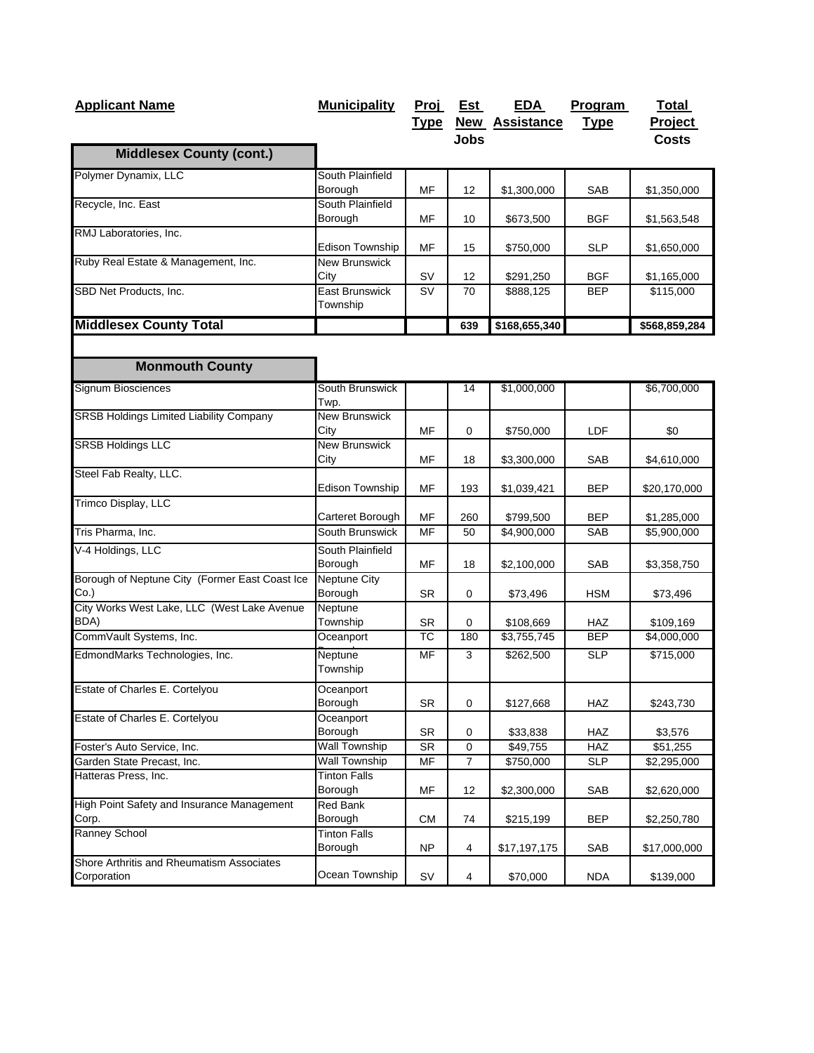| <b>Applicant Name</b>                                    | <b>Municipality</b>                       | <u>Proj</u><br><u>Type</u>     | <u>Est</u><br><b>Jobs</b> | <b>EDA</b><br><b>New Assistance</b> | Program<br><b>Type</b>   | <b>Total</b><br>Project<br><b>Costs</b> |
|----------------------------------------------------------|-------------------------------------------|--------------------------------|---------------------------|-------------------------------------|--------------------------|-----------------------------------------|
| <b>Middlesex County (cont.)</b>                          |                                           |                                |                           |                                     |                          |                                         |
| Polymer Dynamix, LLC                                     | South Plainfield<br>Borough               | <b>MF</b>                      | 12                        | \$1,300,000                         | SAB                      | \$1,350,000                             |
| Recycle, Inc. East                                       | South Plainfield<br>Borough               | MF                             | 10                        | \$673,500                           | <b>BGF</b>               |                                         |
| RMJ Laboratories, Inc.                                   |                                           |                                |                           |                                     |                          | \$1,563,548                             |
| Ruby Real Estate & Management, Inc.                      | Edison Township<br><b>New Brunswick</b>   | MF                             | 15                        | \$750,000                           | <b>SLP</b>               | \$1,650,000                             |
| SBD Net Products, Inc.                                   | City<br><b>East Brunswick</b><br>Township | SV<br>$\overline{\mathsf{sv}}$ | 12<br>70                  | \$291,250<br>\$888,125              | <b>BGF</b><br><b>BEP</b> | \$1,165,000<br>\$115,000                |
| <b>Middlesex County Total</b>                            |                                           |                                | 639                       | \$168,655,340                       |                          | \$568,859,284                           |
| <b>Monmouth County</b>                                   |                                           |                                |                           |                                     |                          |                                         |
| Signum Biosciences                                       | South Brunswick<br>Twp.                   |                                | 14                        | \$1,000,000                         |                          | \$6,700,000                             |
| SRSB Holdings Limited Liability Company                  | <b>New Brunswick</b><br>City              | <b>MF</b>                      | 0                         | \$750,000                           | LDF                      | \$0                                     |
| <b>SRSB Holdings LLC</b>                                 | <b>New Brunswick</b><br>City              | MF                             | 18                        | \$3,300,000                         | SAB                      | \$4,610,000                             |
| Steel Fab Realty, LLC.                                   | <b>Edison Township</b>                    | MF                             | 193                       | \$1,039,421                         | BEP                      | \$20,170,000                            |
| Trimco Display, LLC                                      | Carteret Borough                          | MF                             | 260                       | \$799,500                           | BEP                      | \$1,285,000                             |
| Tris Pharma, Inc.                                        | South Brunswick                           | MF                             | 50                        | \$4,900,000                         | SAB                      | \$5,900,000                             |
| V-4 Holdings, LLC                                        | South Plainfield<br>Borough               | MF                             | 18                        | \$2,100,000                         | SAB                      | \$3,358,750                             |
| Borough of Neptune City (Former East Coast Ice<br>Co.    | <b>Neptune City</b><br>Borough            | <b>SR</b>                      | 0                         | \$73,496                            | <b>HSM</b>               | \$73,496                                |
| City Works West Lake, LLC (West Lake Avenue<br>BDA)      | Neptune<br>Township                       | <b>SR</b>                      | 0                         | \$108,669                           | HAZ                      | \$109,169                               |
| CommVault Systems, Inc.                                  | Oceanport                                 | <b>TC</b>                      | 180                       | \$3,755,745                         | <b>BEP</b>               | \$4,000,000                             |
| EdmondMarks Technologies, Inc.                           | Neptune<br>Township                       | MF                             | 3                         | \$262,500                           | <b>SLP</b>               | \$715,000                               |
| Estate of Charles E. Cortelyou                           | Oceanport<br>Borough                      | SR                             | 0                         | \$127,668                           | HAZ                      | \$243,730                               |
| Estate of Charles E. Cortelyou                           | Oceanport<br>Borough                      | SR                             | 0                         | \$33,838                            | HAZ                      | \$3,576                                 |
| Foster's Auto Service, Inc.                              | <b>Wall Township</b>                      | <b>SR</b>                      | 0                         | \$49,755                            | HAZ                      | \$51,255                                |
| Garden State Precast, Inc.                               | <b>Wall Township</b>                      | MF                             | $\overline{7}$            | \$750,000                           | SLP                      | \$2,295,000                             |
| Hatteras Press, Inc.                                     | <b>Tinton Falls</b><br>Borough            | MF                             | 12                        | \$2,300,000                         | SAB                      | \$2,620,000                             |
| High Point Safety and Insurance Management<br>Corp.      | Red Bank<br>Borough                       | CM                             | 74                        | \$215,199                           | <b>BEP</b>               | \$2,250,780                             |
| Ranney School                                            | <b>Tinton Falls</b><br>Borough            | NP                             | 4                         | \$17,197,175                        | SAB                      | \$17,000,000                            |
| Shore Arthritis and Rheumatism Associates<br>Corporation | Ocean Township                            | SV                             | $\overline{\mathbf{4}}$   | \$70,000                            | <b>NDA</b>               | \$139,000                               |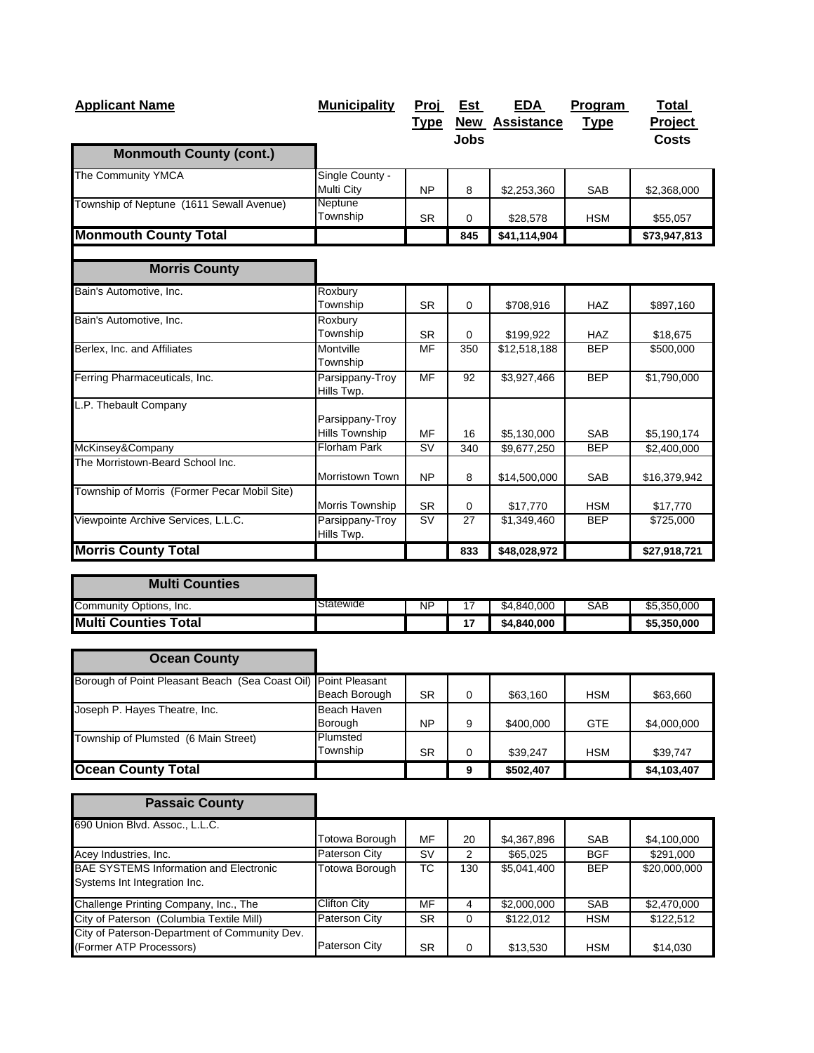| <b>Applicant Name</b>                        | <b>Municipality</b>                      | Proj<br><b>Type</b> | Est         | EDA<br><b>New Assistance</b> | Program<br><b>Type</b> | Total<br><b>Project</b> |
|----------------------------------------------|------------------------------------------|---------------------|-------------|------------------------------|------------------------|-------------------------|
| <b>Monmouth County (cont.)</b>               |                                          |                     | <b>Jobs</b> |                              |                        | Costs                   |
| The Community YMCA                           | Single County -<br><b>Multi City</b>     | <b>NP</b>           | 8           | \$2,253,360                  | <b>SAB</b>             | \$2,368,000             |
| Township of Neptune (1611 Sewall Avenue)     | Neptune<br>Township                      | <b>SR</b>           | 0           | \$28,578                     | <b>HSM</b>             | \$55,057                |
| <b>Monmouth County Total</b>                 |                                          |                     | 845         | \$41,114,904                 |                        | \$73,947,813            |
| <b>Morris County</b>                         |                                          |                     |             |                              |                        |                         |
| Bain's Automotive, Inc.                      | Roxbury<br>Township                      | <b>SR</b>           | 0           | \$708,916                    | <b>HAZ</b>             | \$897,160               |
| Bain's Automotive, Inc.                      | Roxbury<br>Township                      | <b>SR</b>           | $\Omega$    | \$199,922                    | <b>HAZ</b>             | \$18,675                |
| Berlex, Inc. and Affiliates                  | Montville<br>Township                    | MF                  | 350         | \$12,518,188                 | <b>BEP</b>             | \$500,000               |
| Ferring Pharmaceuticals, Inc.                | Parsippany-Troy<br>Hills Twp.            | MF                  | 92          | \$3,927,466                  | <b>BEP</b>             | \$1,790,000             |
| L.P. Thebault Company                        |                                          |                     |             |                              |                        |                         |
|                                              | Parsippany-Troy<br><b>Hills Township</b> | MF                  | 16          | \$5,130,000                  | <b>SAB</b>             | \$5,190,174             |
| McKinsey&Company                             | <b>Florham Park</b>                      | <b>SV</b>           | 340         | \$9,677,250                  | <b>BEP</b>             | \$2,400,000             |
| The Morristown-Beard School Inc.             | <b>Morristown Town</b>                   | <b>NP</b>           | 8           | \$14,500,000                 | <b>SAB</b>             | \$16,379,942            |
| Township of Morris (Former Pecar Mobil Site) | Morris Township                          | <b>SR</b>           | 0           | \$17,770                     | <b>HSM</b>             | \$17,770                |
| Viewpointe Archive Services, L.L.C.          | Parsippany-Troy<br>Hills Twp.            | <b>SV</b>           | 27          | \$1,349,460                  | <b>BEP</b>             | \$725,000               |
| <b>Morris County Total</b>                   |                                          |                     | 833         | \$48,028,972                 |                        | \$27,918,721            |

| <b>Multi Counties</b>       |           |           |    |             |     |             |
|-----------------------------|-----------|-----------|----|-------------|-----|-------------|
| Community Options, Inc.     | Statewide | <b>NP</b> |    | \$4,840,000 | SAB | \$5,350,000 |
| <b>Multi Counties Total</b> |           |           | 17 | \$4,840,000 |     | \$5,350,000 |

| <b>Ocean County</b>                             |                       |           |          |           |            |             |
|-------------------------------------------------|-----------------------|-----------|----------|-----------|------------|-------------|
| Borough of Point Pleasant Beach (Sea Coast Oil) | <b>Point Pleasant</b> |           |          |           |            |             |
|                                                 | Beach Borough         | <b>SR</b> | 0        | \$63,160  | <b>HSM</b> | \$63,660    |
| Joseph P. Hayes Theatre, Inc.                   | Beach Haven           |           |          |           |            |             |
|                                                 | Borough               | <b>NP</b> | 9        | \$400,000 | <b>GTE</b> | \$4,000,000 |
| Township of Plumsted (6 Main Street)            | Plumsted              |           |          |           |            |             |
|                                                 | Township              | <b>SR</b> | $\Omega$ | \$39.247  | <b>HSM</b> | \$39,747    |
| <b>Ocean County Total</b>                       |                       |           | 9        | \$502,407 |            | \$4,103,407 |

| <b>Passaic County</b>                         |                |           |     |             |            |              |
|-----------------------------------------------|----------------|-----------|-----|-------------|------------|--------------|
| 690 Union Blvd. Assoc., L.L.C.                |                |           |     |             |            |              |
|                                               | Totowa Borough | MF        | 20  | \$4,367,896 | <b>SAB</b> | \$4,100,000  |
| Acey Industries, Inc.                         | Paterson City  | SV        | 2   | \$65,025    | <b>BGF</b> | \$291,000    |
| <b>BAE SYSTEMS Information and Electronic</b> | Totowa Borough | ТC        | 130 | \$5,041,400 | <b>BEP</b> | \$20,000,000 |
| Systems Int Integration Inc.                  |                |           |     |             |            |              |
| Challenge Printing Company, Inc., The         | Clifton City   | MF        | 4   | \$2,000,000 | <b>SAB</b> | \$2,470,000  |
| City of Paterson (Columbia Textile Mill)      | Paterson City  | <b>SR</b> | 0   | \$122,012   | <b>HSM</b> | \$122,512    |
| City of Paterson-Department of Community Dev. |                |           |     |             |            |              |
| (Former ATP Processors)                       | Paterson City  | <b>SR</b> | 0   | \$13,530    | <b>HSM</b> | \$14,030     |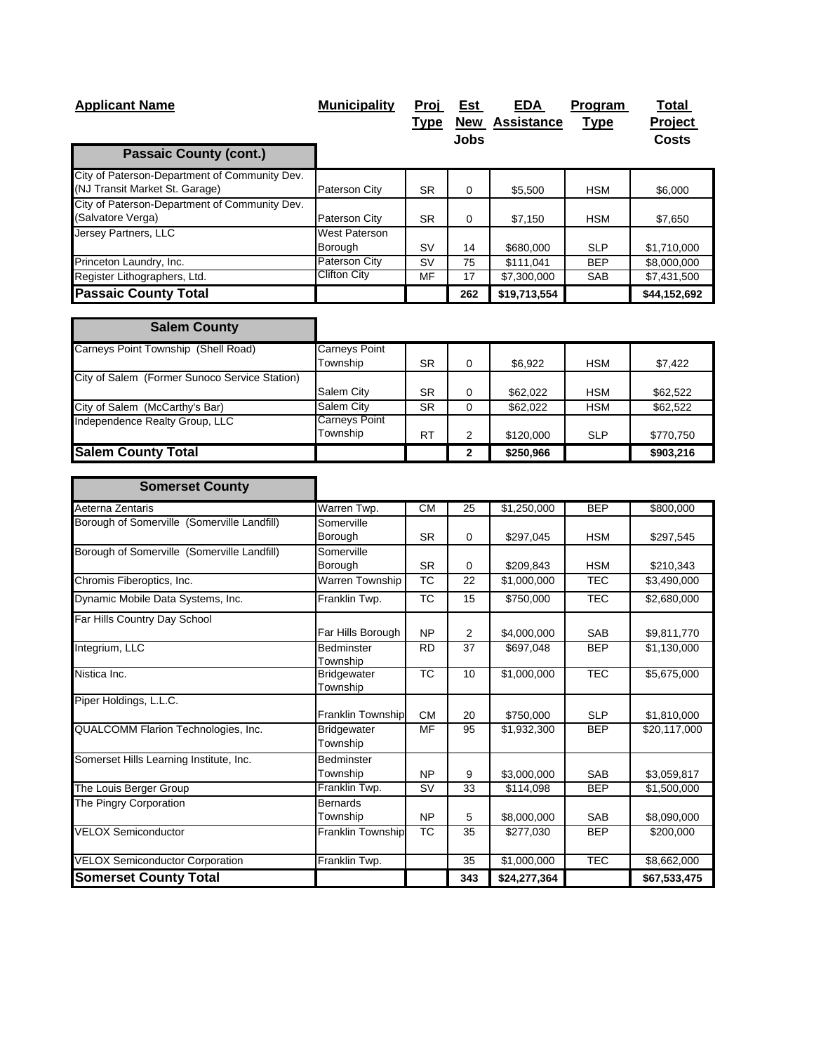| <b>Applicant Name</b>                                                           | <b>Municipality</b>             | <u>Proj</u><br><u>Type</u> | <u>Est</u><br><b>Jobs</b> | EDA<br>New Assistance | Program<br><b>Type</b> | Total<br>Project<br><b>Costs</b> |
|---------------------------------------------------------------------------------|---------------------------------|----------------------------|---------------------------|-----------------------|------------------------|----------------------------------|
| <b>Passaic County (cont.)</b>                                                   |                                 |                            |                           |                       |                        |                                  |
| City of Paterson-Department of Community Dev.<br>(NJ Transit Market St. Garage) | Paterson City                   | <b>SR</b>                  | 0                         | \$5,500               | <b>HSM</b>             | \$6,000                          |
| City of Paterson-Department of Community Dev.<br>(Salvatore Verga)              | Paterson City                   | <b>SR</b>                  | 0                         | \$7,150               | <b>HSM</b>             | \$7,650                          |
| Jersey Partners, LLC                                                            | <b>West Paterson</b><br>Borough | SV                         | 14                        | \$680,000             | <b>SLP</b>             | \$1,710,000                      |
| Princeton Laundry, Inc.                                                         | Paterson City                   | <b>SV</b>                  | 75                        | \$111,041             | <b>BEP</b>             | \$8,000,000                      |
| Register Lithographers, Ltd.                                                    | Clifton City                    | MF                         | 17                        | \$7,300,000           | SAB                    | \$7,431,500                      |
| <b>Passaic County Total</b>                                                     |                                 |                            | 262                       | \$19,713,554          |                        | \$44,152,692                     |
| <b>Salem County</b>                                                             |                                 |                            |                           |                       |                        |                                  |
| Carneys Point Township (Shell Road)                                             | Carneys Point                   |                            |                           |                       |                        |                                  |
|                                                                                 | Township                        | <b>SR</b>                  | 0                         | \$6,922               | <b>HSM</b>             | \$7,422                          |
| City of Salem (Former Sunoco Service Station)                                   | Salem City                      | <b>SR</b>                  | 0                         | \$62,022              | <b>HSM</b>             | \$62,522                         |
| City of Salem (McCarthy's Bar)                                                  | Salem City                      | <b>SR</b>                  | 0                         | \$62,022              | <b>HSM</b>             | \$62,522                         |
| Independence Realty Group, LLC                                                  | Carneys Point<br>Township       | RT                         | 2                         | \$120,000             | <b>SLP</b>             | \$770,750                        |
| <b>Salem County Total</b>                                                       |                                 |                            | $\mathbf{2}$              | \$250,966             |                        | \$903,216                        |
|                                                                                 |                                 |                            |                           |                       |                        |                                  |
| <b>Somerset County</b>                                                          |                                 |                            |                           |                       |                        |                                  |
| Aeterna Zentaris                                                                | Warren Twp.                     | CM                         | 25                        | \$1,250,000           | <b>BEP</b>             | \$800,000                        |
| Borough of Somerville (Somerville Landfill)                                     | Somerville<br>Borough           | <b>SR</b>                  |                           |                       |                        |                                  |
| Borough of Somerville (Somerville Landfill)                                     | Somerville                      |                            | 0                         | \$297,045             | <b>HSM</b>             | \$297,545                        |
|                                                                                 | Borough                         | <b>SR</b>                  | 0                         | \$209,843             | HSM                    | \$210,343                        |
| Chromis Fiberoptics, Inc.                                                       | Warren Township                 | $\overline{\text{TC}}$     | 22                        | \$1,000,000           | <b>TEC</b>             | \$3,490,000                      |
| Dynamic Mobile Data Systems, Inc.                                               | Franklin Twp.                   | <b>TC</b>                  | 15                        | \$750,000             | <b>TEC</b>             | \$2,680,000                      |
| Far Hills Country Day School                                                    |                                 |                            |                           |                       |                        |                                  |
|                                                                                 | Far Hills Borough               | <b>NP</b>                  | $\overline{2}$            | \$4,000,000           | SAB                    | \$9,811,770                      |
| Integrium, LLC                                                                  | <b>Bedminster</b><br>Township   | <b>RD</b>                  | 37                        | \$697,048             | <b>BEP</b>             | \$1,130,000                      |
| Nistica Inc.                                                                    | <b>Bridgewater</b><br>Township  | $\overline{\text{TC}}$     | 10                        | \$1,000,000           | <b>TEC</b>             | \$5,675,000                      |
| Piper Holdings, L.L.C.                                                          | <b>Franklin Township</b>        | ${\sf CM}$                 | 20                        | \$750,000             | <b>SLP</b>             | \$1,810,000                      |
| QUALCOMM Flarion Technologies, Inc.                                             | <b>Bridgewater</b><br>Township  | <b>MF</b>                  | 95                        | \$1,932,300           | <b>BEP</b>             | \$20,117,000                     |
| Somerset Hills Learning Institute, Inc.                                         | <b>Bedminster</b><br>Township   | <b>NP</b>                  | 9                         | \$3,000,000           | SAB                    | \$3,059,817                      |
| The Louis Berger Group                                                          | Franklin Twp.                   | SV                         | 33                        | \$114,098             | <b>BEP</b>             | \$1,500,000                      |
| The Pingry Corporation                                                          | <b>Bernards</b><br>Township     | <b>NP</b>                  | 5                         | \$8,000,000           | SAB                    | \$8,090,000                      |
| <b>VELOX Semiconductor</b>                                                      | Franklin Township               | TC                         | 35                        | \$277,030             | <b>BEP</b>             | \$200,000                        |
| <b>VELOX Semiconductor Corporation</b>                                          | Franklin Twp.                   |                            | 35                        | \$1,000,000           | TEC                    | \$8,662,000                      |
| <b>Somerset County Total</b>                                                    |                                 |                            | 343                       | \$24,277,364          |                        | \$67,533,475                     |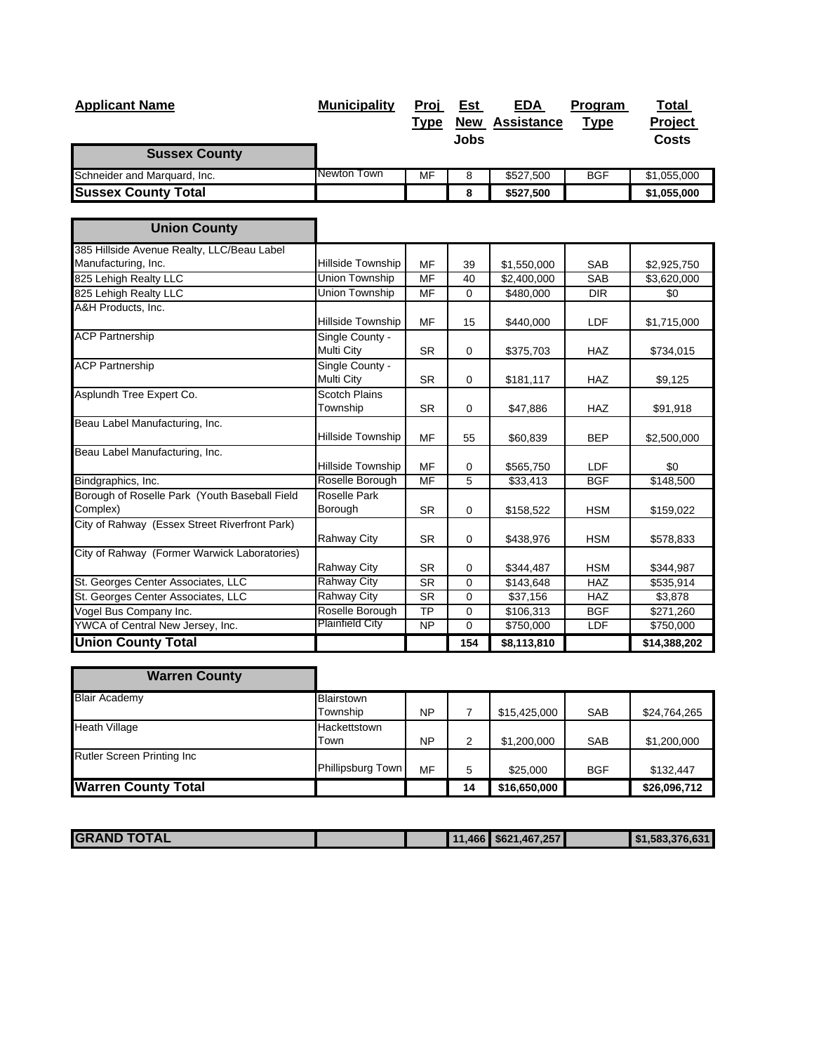| <b>Applicant Name</b>                                     | <b>Municipality</b>              | <u>Proj</u>     | <u>Est</u>  | <b>EDA</b>            | Program     | Total        |
|-----------------------------------------------------------|----------------------------------|-----------------|-------------|-----------------------|-------------|--------------|
|                                                           |                                  | <b>Type</b>     |             | <b>New Assistance</b> | <b>Type</b> | Project      |
| <b>Sussex County</b>                                      |                                  |                 | <b>Jobs</b> |                       |             | <b>Costs</b> |
| Schneider and Marquard, Inc.                              | Newton Town                      | MF              | 8           | \$527,500             | <b>BGF</b>  | \$1,055,000  |
| <b>Sussex County Total</b>                                |                                  |                 | 8           | \$527,500             |             | \$1,055,000  |
|                                                           |                                  |                 |             |                       |             |              |
| <b>Union County</b>                                       |                                  |                 |             |                       |             |              |
| 385 Hillside Avenue Realty, LLC/Beau Label                |                                  |                 |             |                       |             |              |
| Manufacturing, Inc.                                       | Hillside Township                | <b>MF</b>       | 39          | \$1,550,000           | <b>SAB</b>  | \$2,925,750  |
| 825 Lehigh Realty LLC                                     | <b>Union Township</b>            | M <sub>F</sub>  | 40          | \$2,400,000           | SAB         | \$3,620,000  |
| 825 Lehigh Realty LLC                                     | <b>Union Township</b>            | <b>MF</b>       | $\mathbf 0$ | \$480,000             | <b>DIR</b>  | \$0          |
| A&H Products, Inc.                                        | Hillside Township                | MF              | 15          | \$440,000             | LDF         | \$1,715,000  |
| <b>ACP Partnership</b>                                    | Single County -<br>Multi City    | <b>SR</b>       | 0           | \$375,703             | <b>HAZ</b>  | \$734,015    |
| <b>ACP Partnership</b>                                    | Single County -<br>Multi City    | <b>SR</b>       | 0           | \$181,117             | <b>HAZ</b>  | \$9,125      |
| Asplundh Tree Expert Co.                                  | <b>Scotch Plains</b><br>Township | <b>SR</b>       | $\mathbf 0$ | \$47,886              | <b>HAZ</b>  | \$91,918     |
| Beau Label Manufacturing, Inc.                            | Hillside Township                | MF              | 55          | \$60,839              | <b>BEP</b>  | \$2,500,000  |
| Beau Label Manufacturing, Inc.                            | Hillside Township                | MF              | $\mathbf 0$ | \$565,750             | <b>LDF</b>  | \$0          |
| Bindgraphics, Inc.                                        | Roselle Borough                  | MF              | 5           | \$33,413              | <b>BGF</b>  | \$148,500    |
| Borough of Roselle Park (Youth Baseball Field<br>Complex) | <b>Roselle Park</b><br>Borough   | <b>SR</b>       | $\mathbf 0$ | \$158,522             | <b>HSM</b>  | \$159,022    |
| City of Rahway (Essex Street Riverfront Park)             | <b>Rahway City</b>               | <b>SR</b>       | $\mathbf 0$ | \$438,976             | <b>HSM</b>  | \$578,833    |
| City of Rahway (Former Warwick Laboratories)              |                                  |                 |             |                       |             |              |
|                                                           | Rahway City                      | <b>SR</b>       | $\mathbf 0$ | \$344,487             | <b>HSM</b>  | \$344,987    |
| St. Georges Center Associates, LLC                        | <b>Rahway City</b>               | <b>SR</b>       | 0           | \$143,648             | HAZ         | \$535,914    |
| St. Georges Center Associates, LLC                        | <b>Rahway City</b>               | <b>SR</b>       | 0           | \$37,156              | HAZ         | \$3,878      |
| Vogel Bus Company Inc.                                    | Roselle Borough                  | $\overline{TP}$ | $\mathbf 0$ | \$106,313             | <b>BGF</b>  | \$271,260    |
| YWCA of Central New Jersey, Inc.                          | <b>Plainfield City</b>           | <b>NP</b>       | $\mathbf 0$ | \$750,000             | LDF         | \$750,000    |
| <b>Union County Total</b>                                 |                                  |                 | 154         | \$8,113,810           |             | \$14,388,202 |

| <b>Warren County</b>       |                   |           |    |              |            |              |
|----------------------------|-------------------|-----------|----|--------------|------------|--------------|
| <b>Blair Academy</b>       | <b>Blairstown</b> |           |    |              |            |              |
|                            | Township          | <b>NP</b> |    | \$15,425,000 | <b>SAB</b> | \$24,764,265 |
| <b>Heath Village</b>       | Hackettstown      |           |    |              |            |              |
|                            | Town              | <b>NP</b> | 2  | \$1,200,000  | <b>SAB</b> | \$1,200,000  |
| Rutler Screen Printing Inc |                   |           |    |              |            |              |
|                            | Phillipsburg Town | MF        | 5  | \$25,000     | <b>BGF</b> | \$132,447    |
| <b>Warren County Total</b> |                   |           | 14 | \$16,650,000 |            | \$26,096,712 |

| <b>TOTAL</b><br><b>IGR</b><br>AND |  | 144 | $.466$ $$621$<br>.1.467.257 | $\blacksquare$ \$1.583.376.631 |
|-----------------------------------|--|-----|-----------------------------|--------------------------------|
|                                   |  |     |                             |                                |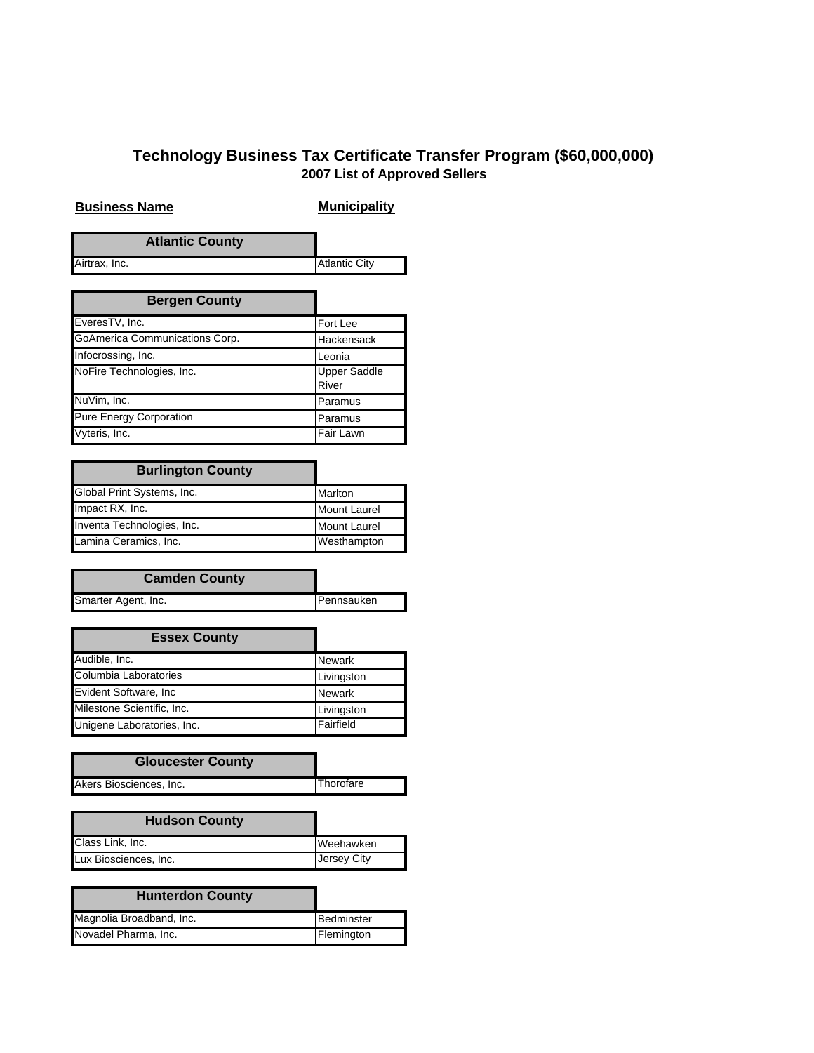## **Technology Business Tax Certificate Transfer Program (\$60,000,000) 2007 List of Approved Sellers**

## **Business Name Municipality**

|               | <b>Atlantic County</b> |                      |
|---------------|------------------------|----------------------|
| Airtrax, Inc. |                        | <b>Atlantic City</b> |

| <b>Bergen County</b>           |                              |
|--------------------------------|------------------------------|
| EveresTV, Inc.                 | Fort Lee                     |
| GoAmerica Communications Corp. | Hackensack                   |
| Infocrossing, Inc.             | Leonia                       |
| NoFire Technologies, Inc.      | <b>Upper Saddle</b><br>River |
| NuVim, Inc.                    | Paramus                      |
| <b>Pure Energy Corporation</b> | Paramus                      |
| Vyteris, Inc.                  | Fair Lawn                    |

| <b>Burlington County</b>   |                     |
|----------------------------|---------------------|
| Global Print Systems, Inc. | Marlton             |
| Impact RX, Inc.            | <b>Mount Laurel</b> |
| Inventa Technologies, Inc. | <b>Mount Laurel</b> |
| Lamina Ceramics, Inc.      | Westhampton         |

| <b>Camden County</b> |            |
|----------------------|------------|
| Smarter Agent, Inc.  | Pennsauken |

| <b>Essex County</b>        |               |
|----------------------------|---------------|
| Audible, Inc.              | <b>Newark</b> |
| Columbia Laboratories      | Livingston    |
| Evident Software, Inc      | <b>Newark</b> |
| Milestone Scientific, Inc. | Livingston    |
| Unigene Laboratories, Inc. | Fairfield     |

| <b>Gloucester County</b> |                  |
|--------------------------|------------------|
| Akers Biosciences, Inc.  | <b>Thorofare</b> |

| <b>Hudson County</b>  |             |
|-----------------------|-------------|
| Class Link, Inc.      | Weehawken   |
| Lux Biosciences, Inc. | Jersey City |

| <b>Hunterdon County</b>  |            |
|--------------------------|------------|
| Magnolia Broadband, Inc. | Bedminster |
| Novadel Pharma, Inc.     | Flemington |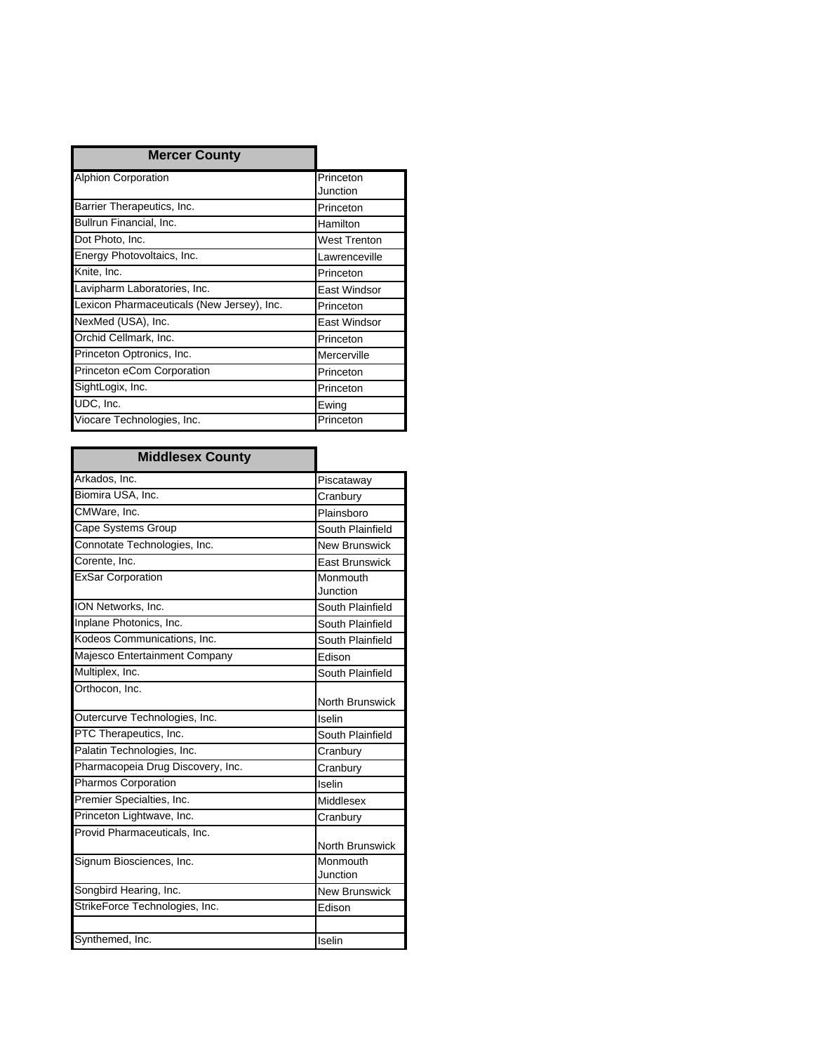| <b>Mercer County</b>                       |               |
|--------------------------------------------|---------------|
| Alphion Corporation                        | Princeton     |
|                                            | Junction      |
| Barrier Therapeutics, Inc.                 | Princeton     |
| Bullrun Financial, Inc.                    | Hamilton      |
| Dot Photo, Inc.                            | West Trenton  |
| Energy Photovoltaics, Inc.                 | Lawrenceville |
| Knite, Inc.                                | Princeton     |
| Lavipharm Laboratories, Inc.               | East Windsor  |
| Lexicon Pharmaceuticals (New Jersey), Inc. | Princeton     |
| NexMed (USA), Inc.                         | East Windsor  |
| Orchid Cellmark, Inc.                      | Princeton     |
| Princeton Optronics, Inc.                  | Mercerville   |
| Princeton eCom Corporation                 | Princeton     |
| SightLogix, Inc.                           | Princeton     |
| UDC, Inc.                                  | Ewing         |
| Viocare Technologies, Inc.                 | Princeton     |

| <b>Middlesex County</b>           |                        |
|-----------------------------------|------------------------|
| Arkados, Inc.                     | Piscataway             |
| Biomira USA, Inc.                 | Cranbury               |
| CMWare, Inc.                      | Plainsboro             |
| Cape Systems Group                | South Plainfield       |
| Connotate Technologies, Inc.      | <b>New Brunswick</b>   |
| Corente, Inc.                     | <b>East Brunswick</b>  |
| <b>ExSar Corporation</b>          | Monmouth<br>Junction   |
| ION Networks, Inc.                | South Plainfield       |
| Inplane Photonics, Inc.           | South Plainfield       |
| Kodeos Communications, Inc.       | South Plainfield       |
| Majesco Entertainment Company     | Edison                 |
| Multiplex, Inc.                   | South Plainfield       |
| Orthocon. Inc.                    | North Brunswick        |
| Outercurve Technologies, Inc.     | Iselin                 |
| PTC Therapeutics, Inc.            | South Plainfield       |
| Palatin Technologies, Inc.        | Cranbury               |
| Pharmacopeia Drug Discovery, Inc. | Cranbury               |
| Pharmos Corporation               | Iselin                 |
| Premier Specialties, Inc.         | Middlesex              |
| Princeton Lightwave, Inc.         | Cranbury               |
| Provid Pharmaceuticals, Inc.      | <b>North Brunswick</b> |
| Signum Biosciences, Inc.          | Monmouth<br>Junction   |
| Songbird Hearing, Inc.            | New Brunswick          |
| StrikeForce Technologies, Inc.    | Edison                 |
|                                   |                        |
| Synthemed, Inc.                   | Iselin                 |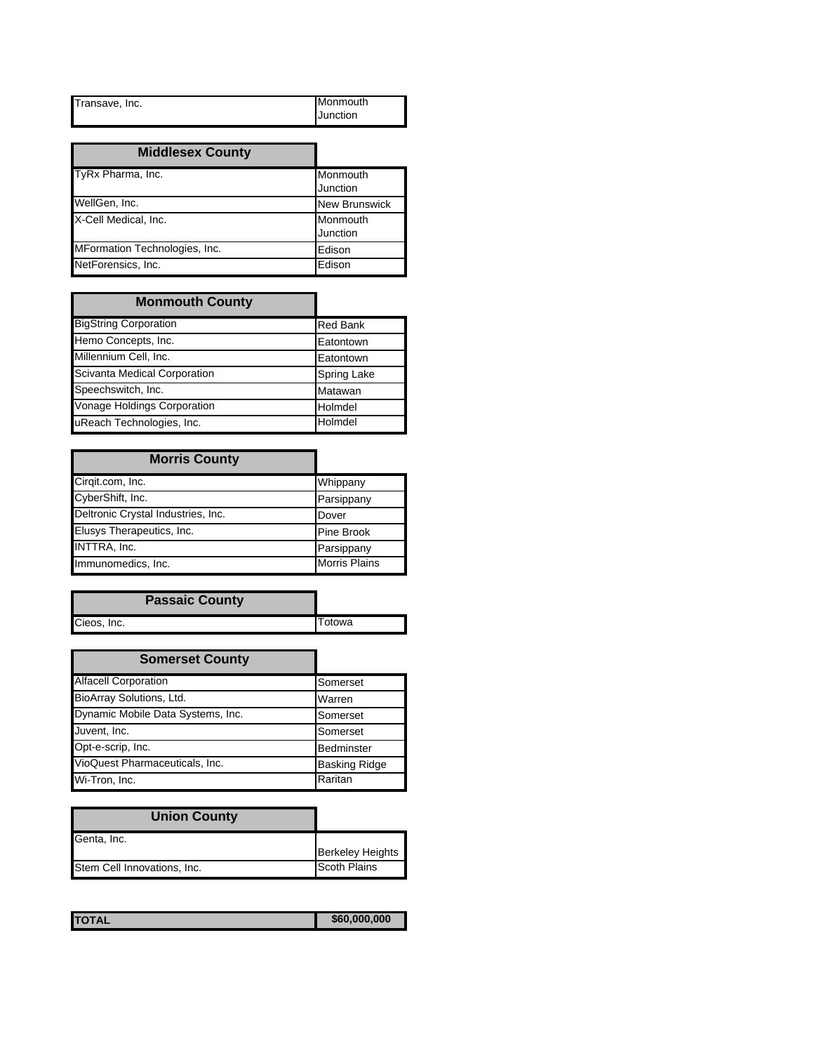| Transave, Inc. | Monmouth |
|----------------|----------|
|                | Junction |

| <b>Middlesex County</b>       |                      |
|-------------------------------|----------------------|
| TyRx Pharma, Inc.             | Monmouth<br>Junction |
| WellGen, Inc.                 | <b>New Brunswick</b> |
| X-Cell Medical, Inc.          | Monmouth<br>Junction |
| MFormation Technologies, Inc. | Edison               |
| NetForensics, Inc.            | Edison               |

| <b>Monmouth County</b>       |                    |
|------------------------------|--------------------|
| <b>BigString Corporation</b> | <b>Red Bank</b>    |
| Hemo Concepts, Inc.          | Eatontown          |
| Millennium Cell, Inc.        | Eatontown          |
| Scivanta Medical Corporation | <b>Spring Lake</b> |
| Speechswitch, Inc.           | Matawan            |
| Vonage Holdings Corporation  | Holmdel            |
| uReach Technologies, Inc.    | Holmdel            |

| <b>Morris County</b>               |                      |
|------------------------------------|----------------------|
| Cirqit.com, Inc.                   | Whippany             |
| CyberShift, Inc.                   | Parsippany           |
| Deltronic Crystal Industries, Inc. | Dover                |
| Elusys Therapeutics, Inc.          | Pine Brook           |
| INTTRA, Inc.                       | Parsippany           |
| Immunomedics, Inc.                 | <b>Morris Plains</b> |

| <b>Passaic County</b> |  |        |
|-----------------------|--|--------|
| Cieos, Inc.           |  | Totowa |

| <b>Somerset County</b>            |                      |
|-----------------------------------|----------------------|
| <b>Alfacell Corporation</b>       | Somerset             |
| BioArray Solutions, Ltd.          | Warren               |
| Dynamic Mobile Data Systems, Inc. | Somerset             |
| Juvent, Inc.                      | Somerset             |
| Opt-e-scrip, Inc.                 | Bedminster           |
| VioQuest Pharmaceuticals, Inc.    | <b>Basking Ridge</b> |
| Wi-Tron, Inc.                     | Raritan              |

| <b>Union County</b>         |                         |
|-----------------------------|-------------------------|
| Genta, Inc.                 |                         |
|                             | <b>Berkeley Heights</b> |
| Stem Cell Innovations, Inc. | <b>Scoth Plains</b>     |

| <b>TOTAL</b> | \$60,000,000 |
|--------------|--------------|
|              |              |